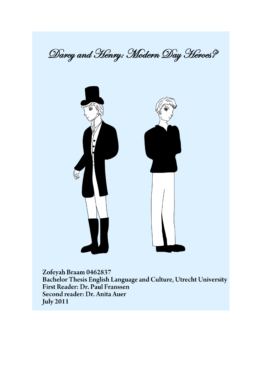



Zofeyah Braam 0462837 Bachelor Thesis English Language and Culture, Utrecht University First Reader: Dr. Paul Franssen Second reader: Dr. Anita Auer **July 2011**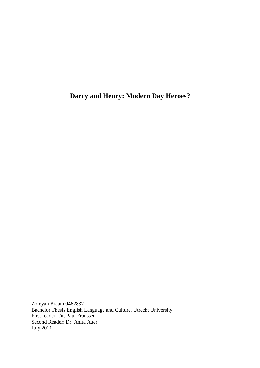**Darcy and Henry: Modern Day Heroes?** 

Zofeyah Braam 0462837 Bachelor Thesis English Language and Culture, Utrecht University First reader: Dr. Paul Franssen Second Reader: Dr. Anita Auer July 2011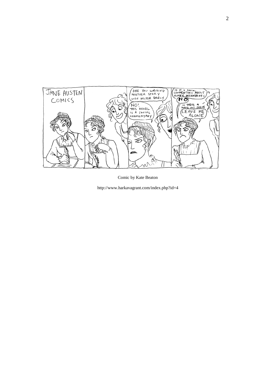

Comic by Kate Beaton

http://www.harkavagrant.com/index.php?id=4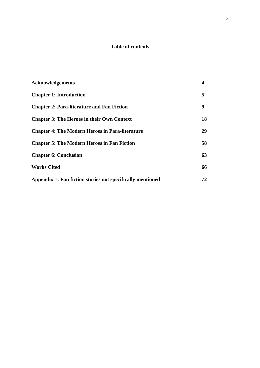# **Table of contents**

| <b>Acknowledgements</b>                                    | $\overline{\mathbf{4}}$ |
|------------------------------------------------------------|-------------------------|
| <b>Chapter 1: Introduction</b>                             | 5                       |
| <b>Chapter 2: Para-literature and Fan Fiction</b>          | 9                       |
| <b>Chapter 3: The Heroes in their Own Context</b>          | 18                      |
| <b>Chapter 4: The Modern Heroes in Para-literature</b>     | 29                      |
| <b>Chapter 5: The Modern Heroes in Fan Fiction</b>         | 58                      |
| <b>Chapter 6: Conclusion</b>                               | 63                      |
| <b>Works Cited</b>                                         | 66                      |
| Appendix 1: Fan fiction stories not specifically mentioned | 72                      |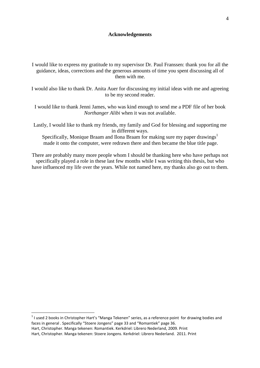# **Acknowledgements**

I would like to express my gratitude to my supervisor Dr. Paul Franssen: thank you for all the guidance, ideas, corrections and the generous amounts of time you spent discussing all of them with me.

I would also like to thank Dr. Anita Auer for discussing my initial ideas with me and agreeing to be my second reader.

I would like to thank Jenni James, who was kind enough to send me a PDF file of her book *Northanger Alibi* when it was not available.

Lastly, I would like to thank my friends, my family and God for blessing and supporting me in different ways. Specifically, Monique Braam and Ilona Braam for making sure my paper drawings<sup>1</sup> made it onto the computer, were redrawn there and then became the blue title page.

There are probably many more people whom I should be thanking here who have perhaps not specifically played a role in these last few months while I was writing this thesis, but who have influenced my life over the years. While not named here, my thanks also go out to them.

 $<sup>1</sup>$  I used 2 books in Christopher Hart's "Manga Tekenen" series, as a reference point for drawing bodies and</sup> faces in general . Specifically "Stoere Jongens" page 33 and "Romantiek" page 36.

Hart, Christopher. Manga tekenen: Romantiek. Kerkdriel: Librero Nederland, 2009. Print

l

Hart, Christopher. Manga tekenen: Stoere Jongens. Kerkdriel: Librero Nederland. 2011. Print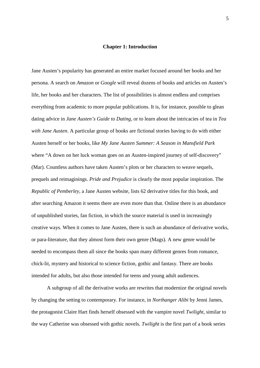#### **Chapter 1: Introduction**

Jane Austen's popularity has generated an entire market focused around her books and her persona. A search on *Amazon* or *Google* will reveal dozens of books and articles on Austen's life, her books and her characters. The list of possibilities is almost endless and comprises everything from academic to more popular publications. It is, for instance, possible to glean dating advice in *Jane Austen's Guide to Dating,* or to learn about the intricacies of tea in *Tea with Jane Austen*. A particular group of books are fictional stories having to do with either Austen herself or her books, like *My Jane Austen Summer: A Season in Mansfield Park* where "A down on her luck woman goes on an Austen-inspired journey of self-discovery" (Mar). Countless authors have taken Austen's plots or her characters to weave sequels, prequels and reimaginings. *Pride and Prejudice* is clearly the most popular inspiration. The *Republic of Pemberley*, a Jane Austen website, lists 62 derivative titles for this book, and after searching Amazon it seems there are even more than that. Online there is an abundance of unpublished stories, fan fiction, in which the source material is used in increasingly creative ways. When it comes to Jane Austen, there is such an abundance of derivative works, or para-literature, that they almost form their own genre (Mags). A new genre would be needed to encompass them all since the books span many different genres from romance, chick-lit, mystery and historical to science fiction, gothic and fantasy. There are books intended for adults, but also those intended for teens and young adult audiences.

A subgroup of all the derivative works are rewrites that modernize the original novels by changing the setting to contemporary. For instance, in *Northanger Alibi* by Jenni James, the protagonist Claire Hart finds herself obsessed with the vampire novel *Twilight*, similar to the way Catherine was obsessed with gothic novels. *Twilight* is the first part of a book series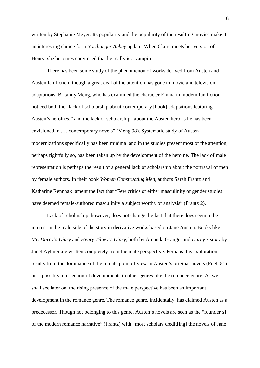written by Stephanie Meyer. Its popularity and the popularity of the resulting movies make it an interesting choice for a *Northanger Abbey* update. When Claire meets her version of Henry, she becomes convinced that he really is a vampire.

There has been some study of the phenomenon of works derived from Austen and Austen fan fiction, though a great deal of the attention has gone to movie and television adaptations. Britanny Meng, who has examined the character Emma in modern fan fiction, noticed both the "lack of scholarship about contemporary [book] adaptations featuring Austen's heroines," and the lack of scholarship "about the Austen hero as he has been envisioned in . . . contemporary novels" (Meng 98). Systematic study of Austen modernizations specifically has been minimal and in the studies present most of the attention, perhaps rightfully so, has been taken up by the development of the heroine. The lack of male representation is perhaps the result of a general lack of scholarship about the portrayal of men by female authors. In their book *Women Constructing Men*, authors Sarah Frantz and Katharine Rennhak lament the fact that "Few critics of either masculinity or gender studies have deemed female-authored masculinity a subject worthy of analysis" (Frantz 2).

Lack of scholarship, however, does not change the fact that there does seem to be interest in the male side of the story in derivative works based on Jane Austen. Books like *Mr. Darcy's Diary* and *Henry Tilney's Diary*, both by Amanda Grange, and *Darcy's story* by Janet Aylmer are written completely from the male perspective. Perhaps this exploration results from the dominance of the female point of view in Austen's original novels (Pugh 81) or is possibly a reflection of developments in other genres like the romance genre. As we shall see later on, the rising presence of the male perspective has been an important development in the romance genre. The romance genre, incidentally, has claimed Austen as a predecessor. Though not belonging to this genre, Austen's novels are seen as the "founder[s] of the modern romance narrative" (Frantz) with "most scholars credit[ing] the novels of Jane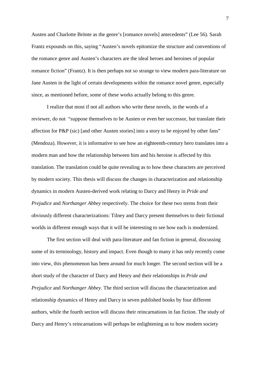Austen and Charlotte Brönte as the genre's [romance novels] antecedents" (Lee 56). Sarah Frantz expounds on this, saying "Austen's novels epitomize the structure and conventions of the romance genre and Austen's characters are the ideal heroes and heroines of popular romance fiction" (Frantz). It is then perhaps not so strange to view modern para-literature on Jane Austen in the light of certain developments within the romance novel genre, especially since, as mentioned before, some of these works actually belong to this genre.

I realize that most if not all authors who write these novels, in the words of a reviewer, do not "suppose themselves to be Austen or even her successor, but translate their affection for P&P (sic) [and other Austen stories] into a story to be enjoyed by other fans" (Mendoza). However, it is informative to see how an eighteenth-century hero translates into a modern man and how the relationship between him and his heroine is affected by this translation. The translation could be quite revealing as to how these characters are perceived by modern society. This thesis will discuss the changes in characterization and relationship dynamics in modern Austen-derived work relating to Darcy and Henry in *Pride and Prejudice* and *Northanger Abbey* respectively. The choice for these two stems from their obviously different characterizations: Tilney and Darcy present themselves to their fictional worlds in different enough ways that it will be interesting to see how each is modernized.

The first section will deal with para-literature and fan fiction in general, discussing some of its terminology, history and impact. Even though to many it has only recently come into view, this phenomenon has been around for much longer. The second section will be a short study of the character of Darcy and Henry and their relationships in *Pride and Prejudice* and *Northanger Abbey*. The third section will discuss the characterization and relationship dynamics of Henry and Darcy in seven published books by four different authors, while the fourth section will discuss their reincarnations in fan fiction. The study of Darcy and Henry's reincarnations will perhaps be enlightening as to how modern society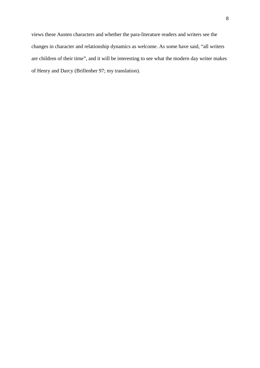views these Austen characters and whether the para-literature readers and writers see the changes in character and relationship dynamics as welcome. As some have said, "all writers are children of their time", and it will be interesting to see what the modern day writer makes of Henry and Darcy (Brillenber 97; my translation).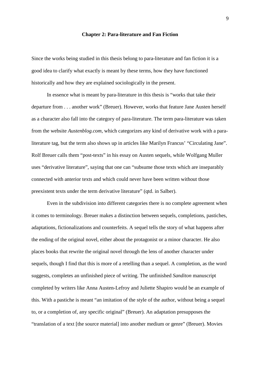#### **Chapter 2: Para-literature and Fan Fiction**

Since the works being studied in this thesis belong to para-literature and fan fiction it is a good idea to clarify what exactly is meant by these terms, how they have functioned historically and how they are explained sociologically in the present.

In essence what is meant by para-literature in this thesis is "works that take their departure from . . . another work" (Breuer). However, works that feature Jane Austen herself as a character also fall into the category of para-literature. The term para-literature was taken from the website *Austenblog.com*, which categorizes any kind of derivative work with a paraliterature tag, but the term also shows up in articles like Marilyn Francus' "Circulating Jane". Rolf Breuer calls them "post-texts" in his essay on Austen sequels, while Wolfgang Muller uses "derivative literature", saying that one can "subsume those texts which are inseparably connected with anterior texts and which could never have been written without those preexistent texts under the term derivative literature" (qtd. in Salber).

Even in the subdivision into different categories there is no complete agreement when it comes to terminology. Breuer makes a distinction between sequels, completions, pastiches, adaptations, fictionalizations and counterfeits. A sequel tells the story of what happens after the ending of the original novel, either about the protagonist or a minor character. He also places books that rewrite the original novel through the lens of another character under sequels, though I find that this is more of a retelling than a sequel. A completion, as the word suggests, completes an unfinished piece of writing. The unfinished *Sanditon* manuscript completed by writers like Anna Austen-Lefroy and Juliette Shapiro would be an example of this. With a pastiche is meant "an imitation of the style of the author, without being a sequel to, or a completion of, any specific original" (Breuer). An adaptation presupposes the "translation of a text [the source material] into another medium or genre" (Breuer). Movies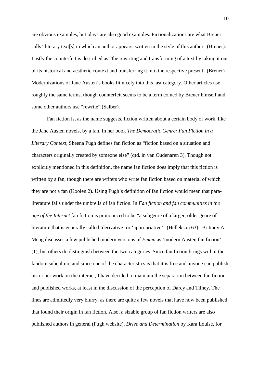are obvious examples, but plays are also good examples. Fictionalizations are what Breuer calls "literary text[s] in which an author appears, written in the style of this author" (Breuer). Lastly the counterfeit is described as "the rewriting and transforming of a text by taking it out of its historical and aesthetic context and transferring it into the respective present" (Breuer). Modernizations of Jane Austen's books fit nicely into this last category. Other articles use roughly the same terms, though counterfeit seems to be a term coined by Breuer himself and some other authors use "rewrite" (Salber).

Fan fiction is, as the name suggests, fiction written about a certain body of work, like the Jane Austen novels, by a fan. In her book *The Democratic Genre: Fan Fiction in a Literary Context*, Sheena Pugh defines fan fiction as "fiction based on a situation and characters originally created by someone else" (qtd. in van Oudenaren 3). Though not explicitly mentioned in this definition, the name fan fiction does imply that this fiction is written by a fan, though there are writers who write fan fiction based on material of which they are not a fan (Koolen 2). Using Pugh's definition of fan fiction would mean that paraliterature falls under the umbrella of fan fiction. In *Fan fiction and fan communities in the age of the Internet* fan fiction is pronounced to be "a subgenre of a larger, older genre of literature that is generally called 'derivative' or 'appropriative'" (Hellekson 63). Brittany A. Meng discusses a few published modern versions of *Emma* as 'modern Austen fan fiction' (1), but others do distinguish between the two categories. Since fan fiction brings with it the fandom subculture and since one of the characteristics is that it is free and anyone can publish his or her work on the internet, I have decided to maintain the separation between fan fiction and published works, at least in the discussion of the perception of Darcy and Tilney. The lines are admittedly very blurry, as there are quite a few novels that have now been published that found their origin in fan fiction. Also, a sizable group of fan fiction writers are also published authors in general (Pugh website). *Drive and Determination* by Kara Louise, for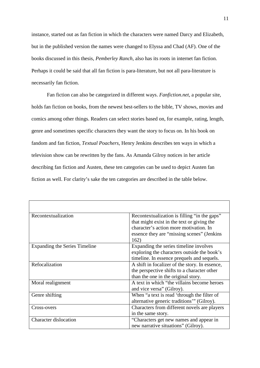instance, started out as fan fiction in which the characters were named Darcy and Elizabeth, but in the published version the names were changed to Elyssa and Chad (AF). One of the books discussed in this thesis, *Pemberley Ranch*, also has its roots in internet fan fiction. Perhaps it could be said that all fan fiction is para-literature, but not all para-literature is necessarily fan fiction.

Fan fiction can also be categorized in different ways. *Fanfiction.net*, a popular site, holds fan fiction on books, from the newest best-sellers to the bible, TV shows, movies and comics among other things. Readers can select stories based on, for example, rating, length, genre and sometimes specific characters they want the story to focus on. In his book on fandom and fan fiction, *Textual Poachers,* Henry Jenkins describes ten ways in which a television show can be rewritten by the fans. As Amanda Gilroy notices in her article describing fan fiction and Austen, these ten categories can be used to depict Austen fan fiction as well. For clarity's sake the ten categories are described in the table below.

| Recontextualization           | Recontextualization is filling "in the gaps"   |
|-------------------------------|------------------------------------------------|
|                               | that might exist in the text or giving the     |
|                               | character's action more motivation. In         |
|                               | essence they are "missing scenes" (Jenkins     |
|                               | 162)                                           |
| Expanding the Series Timeline | Expanding the series timeline involves         |
|                               | exploring the characters outside the book's    |
|                               | timeline. In essence prequels and sequels.     |
| Refocalization                | A shift in focalizer of the story. In essence, |
|                               | the perspective shifts to a character other    |
|                               | than the one in the original story.            |
| Moral realignment             | A text in which "the villains become heroes"   |
|                               | and vice versa" (Gilroy).                      |
| Genre shifting                | When "a text is read 'through the filter of    |
|                               | alternative generic traditions" (Gilroy).      |
| Cross-overs                   | Characters from different novels are players   |
|                               | in the same story.                             |
| Character dislocation         | "Characters get new names and appear in        |
|                               | new narrative situations" (Gilroy).            |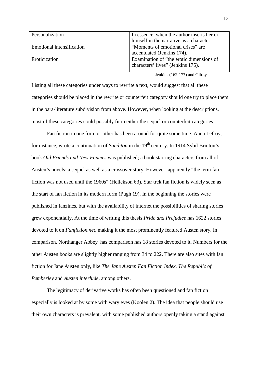| Personalization           | In essence, when the author inserts her or |
|---------------------------|--------------------------------------------|
|                           | himself in the narrative as a character.   |
| Emotional intensification | "Moments of emotional crises" are          |
|                           | accentuated (Jenkins 174).                 |
| Eroticization             | Examination of "the erotic dimensions of   |
|                           | characters' lives" (Jenkins 175).          |
|                           |                                            |

Jenkins (162-177) and Gilroy

Listing all these categories under ways to rewrite a text, would suggest that all these categories should be placed in the rewrite or counterfeit category should one try to place them in the para-literature subdivision from above. However, when looking at the descriptions, most of these categories could possibly fit in either the sequel or counterfeit categories.

 Fan fiction in one form or other has been around for quite some time. Anna Lefroy, for instance, wrote a continuation of *Sanditon* in the 19<sup>th</sup> century. In 1914 Sybil Brinton's book *Old Friends and New Fancies* was published; a book starring characters from all of Austen's novels; a sequel as well as a crossover story. However, apparently "the term fan fiction was not used until the 1960s" (Hellekson 63). Star trek fan fiction is widely seen as the start of fan fiction in its modern form (Pugh 19). In the beginning the stories were published in fanzines, but with the availability of internet the possibilities of sharing stories grew exponentially. At the time of writing this thesis *Pride and Prejudice* has 1622 stories devoted to it on *Fanfiction.net,* making it the most prominently featured Austen story. In comparison, Northanger Abbey has comparison has 18 stories devoted to it. Numbers for the other Austen books are slightly higher ranging from 34 to 222. There are also sites with fan fiction for Jane Austen only, like *The Jane Austen Fan Fiction Index*, *The Republic of Pemberley* and *Austen interlude*, among others.

 The legitimacy of derivative works has often been questioned and fan fiction especially is looked at by some with wary eyes (Koolen 2). The idea that people should use their own characters is prevalent, with some published authors openly taking a stand against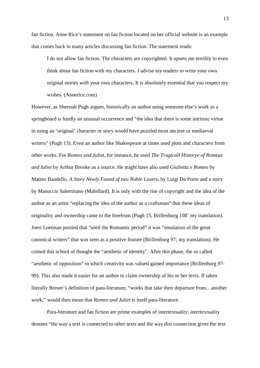fan fiction. Anne Rice's statement on fan fiction located on her official website is an example that comes back in many articles discussing fan fiction. The statement reads:

I do not allow fan fiction. The characters are copyrighted. It upsets me terribly to even think about fan fiction with my characters. I advise my readers to write your own original stories with your own characters. It is absolutely essential that you respect my wishes. (Annerice.com)

However, as Sheenah Pugh argues, historically an author using someone else's work as a springboard is hardly an unusual occurrence and "the idea that there is some intrinsic virtue in using an 'original' character or story would have puzzled most ancient or mediaeval writers" (Pugh 13). Even an author like Shakespeare at times used plots and characters from other works. For *Romeo and Juliet*, for instance, he used *The Tragicall Historye of Romeus and Iuliet* by Arthur Brooke as a source. He might have also used *Giulietta e Romeo* by Matteo Bandello, *A Story Newly Found of two Noble Lovers*, by Luigi Da Porto and a story by Masuccio Salernitano (Mabillard). It is only with the rise of copyright and the idea of the author as an artist "replacing the idea of the author as a craftsman" that these ideas of originality and ownership came to the forefront (Pugh 15, Brillenburg 108' my translation). Joeri Loetman posited that "until the Romantic period" it was "emulation of the great canonical writers" that was seen as a positive feature (Brillenburg 97; my translation). He coined this school of thought the "aesthetic of identity". After this phase, the so called "aesthetic of opposition" in which creativity was valued gained importance (Brillenburg 97- 99). This also made it easier for an author to claim ownership of his or her texts. If taken literally Breuer's definition of para-literature, "works that take their departure from... another work," would then mean that *Romeo and Juliet* is itself para-literature.

Para-literature and fan fiction are prime examples of intertextuality; intertextuality denotes "the way a text is connected to other texts and the way this connection gives the text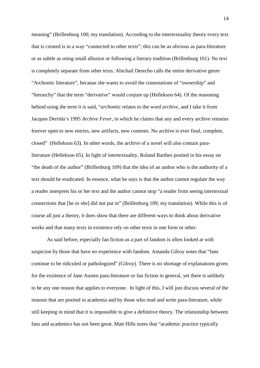meaning" (Brillenburg 100; my translation). According to the intertextuality theory every text that is created is in a way "connected to other texts"; this can be as obvious as para-literature or as subtle as using small allusion or following a literary tradition (Brillenburg 101). No text is completely separate from other texts. Abichail Derecho calls the entire derivative genre "Archontic literature", because she wants to avoid the connotations of "ownership" and "hierarchy" that the term "derivative" would conjure up (Hellekson 64). Of the reasoning behind using the term it is said, "*archontic* relates to the word *archive*, and I take it from Jacques Derrida's 1995 *Archive Fever,* in which he claims that any and every archive remains forever open to new entries, new artifacts, new contents. No archive is ever final, complete, closed" (Hellekson 63). In other words, the archive of a novel will also contain paraliterature (Hellekson 65). In light of intertextuality, Roland Barthes posited in his essay on "the death of the author" (Brillenburg 109) that the idea of an author who is the authority of a text should be eradicated. In essence, what he says is that the author cannot regulate the way a reader interprets his or her text and the author cannot stop "a reader from seeing intertextual connections that [he or she] did not put in" (Brillenburg 109; my translation). While this is of course all just a theory, it does show that there are different ways to think about derivative works and that many texts in existence rely on other texts in one form or other.

As said before, especially fan fiction as a part of fandom is often looked at with suspicion by those that have no experience with fandom. Amanda Gilroy notes that "fans continue to be ridiculed or pathologized" (Gilroy). There is no shortage of explanations given for the existence of Jane Austen para-literature or fan fiction in general, yet there is unlikely to be any one reason that applies to everyone. In light of this, I will just discuss several of the reasons that are posited in academia and by those who read and write para-literature, while still keeping in mind that it is impossible to give a definitive theory. The relationship between fans and academics has not been great. Matt Hills notes that "academic practice typically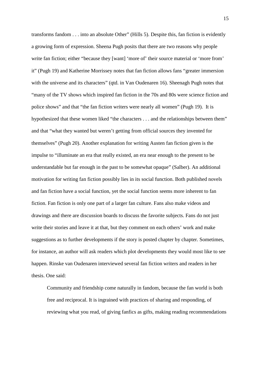transforms fandom . . . into an absolute Other" (Hills 5). Despite this, fan fiction is evidently a growing form of expression. Sheena Pugh posits that there are two reasons why people write fan fiction; either "because they [want] 'more of' their source material or 'more from' it" (Pugh 19) and Katherine Morrissey notes that fan fiction allows fans "greater immersion with the universe and its characters" (qtd. in Van Oudenaren 16). Sheenagh Pugh notes that "many of the TV shows which inspired fan fiction in the 70s and 80s were science fiction and police shows" and that "the fan fiction writers were nearly all women" (Pugh 19). It is hypothesized that these women liked "the characters . . . and the relationships between them" and that "what they wanted but weren't getting from official sources they invented for themselves" (Pugh 20). Another explanation for writing Austen fan fiction given is the impulse to "illuminate an era that really existed, an era near enough to the present to be understandable but far enough in the past to be somewhat opaque" (Salber). An additional motivation for writing fan fiction possibly lies in its social function. Both published novels and fan fiction have a social function, yet the social function seems more inherent to fan fiction. Fan fiction is only one part of a larger fan culture. Fans also make videos and drawings and there are discussion boards to discuss the favorite subjects. Fans do not just write their stories and leave it at that, but they comment on each others' work and make suggestions as to further developments if the story is posted chapter by chapter. Sometimes, for instance, an author will ask readers which plot developments they would most like to see happen. Rinske van Oudenaren interviewed several fan fiction writers and readers in her thesis. One said:

Community and friendship come naturally in fandom, because the fan world is both free and reciprocal. It is ingrained with practices of sharing and responding, of reviewing what you read, of giving fanfics as gifts, making reading recommendations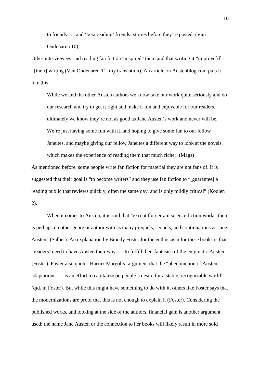to friends . . . and 'beta reading' friends' stories before they're posted. (Van Oudenaren 10).

Other interviewees said reading fan fiction "inspired" them and that writing it "improve[d] . . . [their] writing (Van Oudenaren 11; my translation). An article on Austenblog.com puts it like this:

While we and the other Austen authors we know take our work quite seriously and do our research and try to get it right and make it fun and enjoyable for our readers, ultimately we know they're not as good as Jane Austen's work and never will be. We're just having some fun with it, and hoping to give some fun to our fellow Janeites, and maybe giving our fellow Janeites a different way to look at the novels, which makes the experience of reading them that much richer. (Mags)

As mentioned before, some people write fan fiction for material they are not fans of. It is suggested that their goal is "to become writers" and they use fan fiction to "[guarantee] a reading public that reviews quickly, often the same day, and is only mildly critical" (Koolen 2).

When it comes to Austen, it is said that "except for certain science fiction works, there is perhaps no other genre or author with as many prequels, sequels, and continuations as Jane Austen" (Salber). An explanation by Brandy Foster for the enthusiasm for these books is that "readers' need to have Austen their way . . . to fulfill their fantasies of the enigmatic Austen" (Foster). Foster also quotes Harriet Margolis' argument that the "phenomenon of Austen adaptations . . . is an effort to capitalize on people's desire for a stable, recognizable world" (qtd. in Foster). But while this might have something to do with it, others like Foster says that the modernizations are proof that this is not enough to explain it (Foster). Considering the published works, and looking at the side of the authors, financial gain is another argument used; the name Jane Austen or the connection to her books will likely result in more sold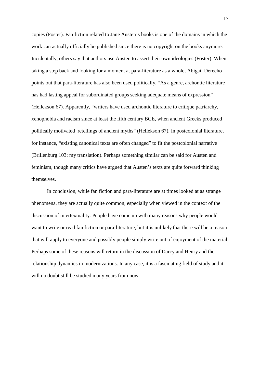copies (Foster). Fan fiction related to Jane Austen's books is one of the domains in which the work can actually officially be published since there is no copyright on the books anymore. Incidentally, others say that authors use Austen to assert their own ideologies (Foster). When taking a step back and looking for a moment at para-literature as a whole, Abigail Derecho points out that para-literature has also been used politically. "As a genre, archontic literature has had lasting appeal for subordinated groups seeking adequate means of expression" (Hellekson 67). Apparently, "writers have used archontic literature to critique patriarchy, xenophobia and racism since at least the fifth century BCE, when ancient Greeks produced politically motivated retellings of ancient myths" (Hellekson 67). In postcolonial literature, for instance, "existing canonical texts are often changed" to fit the postcolonial narrative (Brillenburg 103; my translation). Perhaps something similar can be said for Austen and feminism, though many critics have argued that Austen's texts are quite forward thinking themselves.

 In conclusion, while fan fiction and para-literature are at times looked at as strange phenomena, they are actually quite common, especially when viewed in the context of the discussion of intertextuality. People have come up with many reasons why people would want to write or read fan fiction or para-literature, but it is unlikely that there will be a reason that will apply to everyone and possibly people simply write out of enjoyment of the material. Perhaps some of these reasons will return in the discussion of Darcy and Henry and the relationship dynamics in modernizations. In any case, it is a fascinating field of study and it will no doubt still be studied many years from now.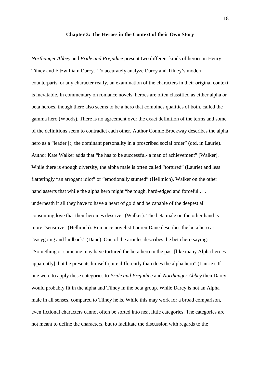#### **Chapter 3: The Heroes in the Context of their Own Story**

*Northanger Abbey* and *Pride and Prejudice* present two different kinds of heroes in Henry Tilney and Fitzwilliam Darcy. To accurately analyze Darcy and Tilney's modern counterparts, or any character really, an examination of the characters in their original context is inevitable. In commentary on romance novels, heroes are often classified as either alpha or beta heroes, though there also seems to be a hero that combines qualities of both, called the gamma hero (Woods). There is no agreement over the exact definition of the terms and some of the definitions seem to contradict each other. Author Connie Brockway describes the alpha hero as a "leader [;] the dominant personality in a proscribed social order" (qtd. in Laurie). Author Kate Walker adds that "he has to be successful- a man of achievement" (Walker). While there is enough diversity, the alpha male is often called "tortured" (Laurie) and less flatteringly "an arrogant idiot" or "emotionally stunted" (Hellmich). Walker on the other hand asserts that while the alpha hero might "be tough, hard-edged and forceful . . . underneath it all they have to have a heart of gold and be capable of the deepest all consuming love that their heroines deserve" (Walker). The beta male on the other hand is more "sensitive" (Hellmich). Romance novelist Lauren Dane describes the beta hero as "easygoing and laidback" (Dane). One of the articles describes the beta hero saying: "Something or someone may have tortured the beta hero in the past [like many Alpha heroes apparently], but he presents himself quite differently than does the alpha hero" (Laurie). If one were to apply these categories to *Pride and Prejudice* and *Northanger Abbey* then Darcy would probably fit in the alpha and Tilney in the beta group. While Darcy is not an Alpha male in all senses, compared to Tilney he is. While this may work for a broad comparison, even fictional characters cannot often be sorted into neat little categories. The categories are not meant to define the characters, but to facilitate the discussion with regards to the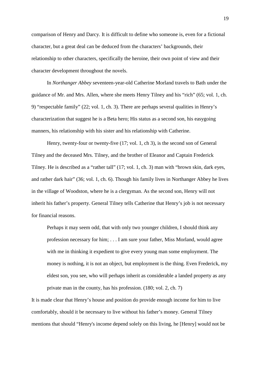comparison of Henry and Darcy. It is difficult to define who someone is, even for a fictional character, but a great deal can be deduced from the characters' backgrounds, their relationship to other characters, specifically the heroine, their own point of view and their character development throughout the novels.

In *Northanger Abbey* seventeen-year-old Catherine Morland travels to Bath under the guidance of Mr. and Mrs. Allen, where she meets Henry Tilney and his "rich" (65; vol. 1, ch. 9) "respectable family" (22; vol. 1, ch. 3). There are perhaps several qualities in Henry's characterization that suggest he is a Beta hero; His status as a second son, his easygoing manners, his relationship with his sister and his relationship with Catherine.

Henry, twenty-four or twenty-five (17; vol. 1, ch 3), is the second son of General Tilney and the deceased Mrs. Tilney, and the brother of Eleanor and Captain Frederick Tilney. He is described as a "rather tall" (17; vol. 1, ch. 3) man with "brown skin, dark eyes, and rather dark hair" (36; vol. 1, ch. 6). Though his family lives in Northanger Abbey he lives in the village of Woodston, where he is a clergyman. As the second son, Henry will not inherit his father's property. General Tilney tells Catherine that Henry's job is not necessary for financial reasons.

Perhaps it may seem odd, that with only two younger children, I should think any profession necessary for him; . . . I am sure your father, Miss Morland, would agree with me in thinking it expedient to give every young man some employment. The money is nothing, it is not an object, but employment is the thing. Even Frederick, my eldest son, you see, who will perhaps inherit as considerable a landed property as any private man in the county, has his profession. (180; vol. 2, ch. 7)

It is made clear that Henry's house and position do provide enough income for him to live comfortably, should it be necessary to live without his father's money. General Tilney mentions that should "Henry's income depend solely on this living, he [Henry] would not be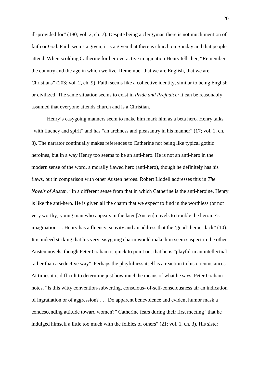ill-provided for" (180; vol. 2, ch. 7). Despite being a clergyman there is not much mention of faith or God. Faith seems a given; it is a given that there is church on Sunday and that people attend. When scolding Catherine for her overactive imagination Henry tells her, "Remember the country and the age in which we live. Remember that we are English, that we are Christians" (203; vol. 2, ch. 9). Faith seems like a collective identity, similar to being English or civilized. The same situation seems to exist in *Pride and Prejudice;* it can be reasonably assumed that everyone attends church and is a Christian.

Henry's easygoing manners seem to make him mark him as a beta hero. Henry talks "with fluency and spirit" and has "an archness and pleasantry in his manner" (17; vol. 1, ch. 3). The narrator continually makes references to Catherine not being like typical gothic heroines, but in a way Henry too seems to be an anti-hero. He is not an anti-hero in the modern sense of the word, a morally flawed hero (anti-hero), though he definitely has his flaws, but in comparison with other Austen heroes. Robert Liddell addresses this in *The Novels of Austen.* "In a different sense from that in which Catherine is the anti-heroine, Henry is like the anti-hero. He is given all the charm that we expect to find in the worthless (or not very worthy) young man who appears in the later [Austen] novels to trouble the heroine's imagination. . . Henry has a fluency, suavity and an address that the 'good' heroes lack" (10). It is indeed striking that his very easygoing charm would make him seem suspect in the other Austen novels, though Peter Graham is quick to point out that he is "playful in an intellectual rather than a seductive way". Perhaps the playfulness itself is a reaction to his circumstances. At times it is difficult to determine just how much he means of what he says. Peter Graham notes, "Is this witty convention-subverting, conscious- of-self-consciousness air an indication of ingratiation or of aggression? . . . Do apparent benevolence and evident humor mask a condescending attitude toward women?" Catherine fears during their first meeting "that he indulged himself a little too much with the foibles of others" (21; vol. 1, ch. 3). His sister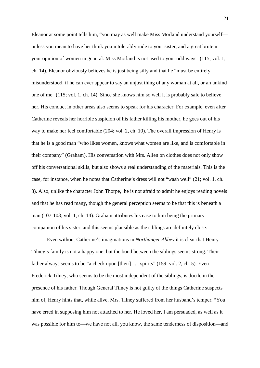Eleanor at some point tells him, "you may as well make Miss Morland understand yourself unless you mean to have her think you intolerably rude to your sister, and a great brute in your opinion of women in general. Miss Morland is not used to your odd ways" (115; vol. 1, ch. 14). Eleanor obviously believes he is just being silly and that he "must be entirely misunderstood, if he can ever appear to say an unjust thing of any woman at all, or an unkind one of me" (115; vol. 1, ch. 14). Since she knows him so well it is probably safe to believe her. His conduct in other areas also seems to speak for his character. For example, even after Catherine reveals her horrible suspicion of his father killing his mother, he goes out of his way to make her feel comfortable (204; vol. 2, ch. 10). The overall impression of Henry is that he is a good man "who likes women, knows what women are like, and is comfortable in their company" (Graham). His conversation with Mrs. Allen on clothes does not only show off his conversational skills, but also shows a real understanding of the materials. This is the case, for instance, when he notes that Catherine's dress will not "wash well" (21; vol. 1, ch. 3). Also, unlike the character John Thorpe, he is not afraid to admit he enjoys reading novels and that he has read many, though the general perception seems to be that this is beneath a man (107-108; vol. 1, ch. 14). Graham attributes his ease to him being the primary companion of his sister, and this seems plausible as the siblings are definitely close.

Even without Catherine's imaginations in *Northanger Abbey* it is clear that Henry Tilney's family is not a happy one, but the bond between the siblings seems strong. Their father always seems to be "a check upon [their] ... spirits" (159; vol. 2, ch. 5). Even Frederick Tilney, who seems to be the most independent of the siblings, is docile in the presence of his father. Though General Tilney is not guilty of the things Catherine suspects him of, Henry hints that, while alive, Mrs. Tilney suffered from her husband's temper. "You have erred in supposing him not attached to her. He loved her, I am persuaded, as well as it was possible for him to—we have not all, you know, the same tenderness of disposition—and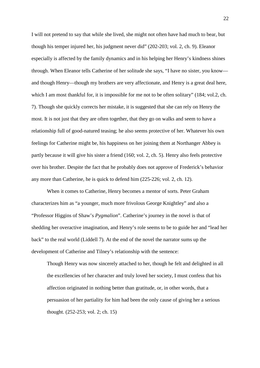I will not pretend to say that while she lived, she might not often have had much to bear, but though his temper injured her, his judgment never did" (202-203; vol. 2, ch. 9). Eleanor especially is affected by the family dynamics and in his helping her Henry's kindness shines through. When Eleanor tells Catherine of her solitude she says, "I have no sister, you know and though Henry—though my brothers are very affectionate, and Henry is a great deal here, which I am most thankful for, it is impossible for me not to be often solitary" (184; vol.2, ch. 7). Though she quickly corrects her mistake, it is suggested that she can rely on Henry the most. It is not just that they are often together, that they go on walks and seem to have a relationship full of good-natured teasing; he also seems protective of her. Whatever his own feelings for Catherine might be, his happiness on her joining them at Northanger Abbey is partly because it will give his sister a friend (160; vol. 2, ch. 5). Henry also feels protective over his brother. Despite the fact that he probably does not approve of Frederick's behavior any more than Catherine, he is quick to defend him (225-226; vol. 2, ch. 12).

When it comes to Catherine, Henry becomes a mentor of sorts. Peter Graham characterizes him as "a younger, much more frivolous George Knightley" and also a "Professor Higgins of Shaw's *Pygmalion*". Catherine's journey in the novel is that of shedding her overactive imagination, and Henry's role seems to be to guide her and "lead her back" to the real world (Liddell 7). At the end of the novel the narrator sums up the development of Catherine and Tilney's relationship with the sentence:

Though Henry was now sincerely attached to her, though he felt and delighted in all the excellencies of her character and truly loved her society, I must confess that his affection originated in nothing better than gratitude, or, in other words, that a persuasion of her partiality for him had been the only cause of giving her a serious thought. (252-253; vol. 2; ch. 15)

22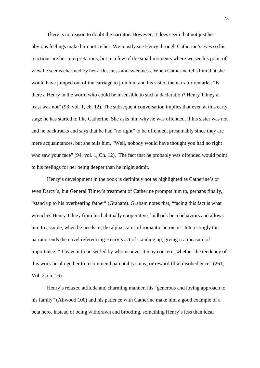There is no reason to doubt the narrator. However, it does seem that not just her obvious feelings make him notice her. We mostly see Henry through Catherine's eyes so his reactions are her interpretations, but in a few of the small moments where we see his point of view he seems charmed by her artlessness and sweetness. When Catherine tells him that she would have jumped out of the carriage to join him and his sister, the narrator remarks, "Is there a Henry in the world who could be insensible to such a declaration? Henry Tilney at least was not" (93; vol. 1, ch. 12). The subsequent conversation implies that even at this early stage he has started to like Catherine. She asks him why he was offended, if his sister was not and he backtracks and says that he had "no right" to be offended, presumably since they are mere acquaintances, but she tells him, "Well, nobody would have thought you had no right who saw your face" (94; vol. 1, Ch. 12). The fact that he probably was offended would point to his feelings for her being deeper than he might admit.

Henry's development in the book is definitely not as highlighted as Catherine's or even Darcy's, but General Tilney's treatment of Catherine prompts him to, perhaps finally, "stand up to his overbearing father" (Graham). Graham notes that, "facing this fact is what wrenches Henry Tilney from his habitually cooperative, laidback beta behaviors and allows him to assume, when he needs to, the alpha status of romantic heroism". Interestingly the narrator ends the novel referencing Henry's act of standing up, giving it a measure of importance: " I leave it to be settled by whomsoever it may concern, whether the tendency of this work be altogether to recommend parental tyranny, or reward filial disobedience" (261; Vol. 2, ch. 16).

Henry's relaxed attitude and charming manner, his "generous and loving approach to his family" (Ailwood 100) and his patience with Catherine make him a good example of a beta hero. Instead of being withdrawn and brooding, something Henry's less than ideal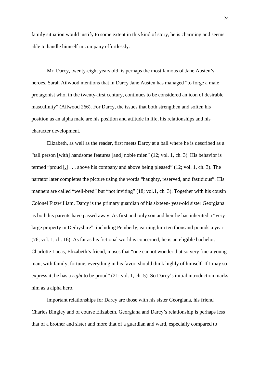family situation would justify to some extent in this kind of story, he is charming and seems able to handle himself in company effortlessly.

Mr. Darcy, twenty-eight years old, is perhaps the most famous of Jane Austen's heroes. Sarah Ailwood mentions that in Darcy Jane Austen has managed "to forge a male protagonist who, in the twenty-first century, continues to be considered an icon of desirable masculinity" (Ailwood 266). For Darcy, the issues that both strengthen and soften his position as an alpha male are his position and attitude in life, his relationships and his character development.

Elizabeth, as well as the reader, first meets Darcy at a ball where he is described as a "tall person [with] handsome features [and] noble mien" (12; vol. 1, ch. 3). His behavior is termed "proud [,] . . . above his company and above being pleased" (12; vol. 1, ch. 3). The narrator later completes the picture using the words "haughty, reserved, and fastidious". His manners are called "well-bred" but "not inviting" (18; vol.1, ch. 3). Together with his cousin Colonel Fitzwilliam, Darcy is the primary guardian of his sixteen- year-old sister Georgiana as both his parents have passed away. As first and only son and heir he has inherited a "very large property in Derbyshire", including Pemberly, earning him ten thousand pounds a year (76; vol. 1, ch. 16). As far as his fictional world is concerned, he is an eligible bachelor. Charlotte Lucas, Elizabeth's friend, muses that "one cannot wonder that so very fine a young man, with family, fortune, everything in his favor, should think highly of himself. If I may so express it, he has a *right* to be proud" (21; vol. 1, ch. 5). So Darcy's initial introduction marks him as a alpha hero.

Important relationships for Darcy are those with his sister Georgiana, his friend Charles Bingley and of course Elizabeth. Georgiana and Darcy's relationship is perhaps less that of a brother and sister and more that of a guardian and ward, especially compared to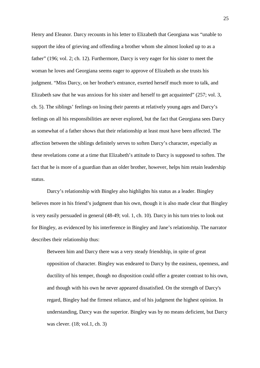Henry and Eleanor. Darcy recounts in his letter to Elizabeth that Georgiana was "unable to support the idea of grieving and offending a brother whom she almost looked up to as a father" (196; vol. 2; ch. 12). Furthermore, Darcy is very eager for his sister to meet the woman he loves and Georgiana seems eager to approve of Elizabeth as she trusts his judgment. "Miss Darcy, on her brother's entrance, exerted herself much more to talk, and Elizabeth saw that he was anxious for his sister and herself to get acquainted" (257; vol. 3, ch. 5). The siblings' feelings on losing their parents at relatively young ages and Darcy's feelings on all his responsibilities are never explored, but the fact that Georgiana sees Darcy as somewhat of a father shows that their relationship at least must have been affected. The affection between the siblings definitely serves to soften Darcy's character, especially as these revelations come at a time that Elizabeth's attitude to Darcy is supposed to soften. The fact that he is more of a guardian than an older brother, however, helps him retain leadership status.

Darcy's relationship with Bingley also highlights his status as a leader. Bingley believes more in his friend's judgment than his own, though it is also made clear that Bingley is very easily persuaded in general (48-49; vol. 1, ch. 10). Darcy in his turn tries to look out for Bingley, as evidenced by his interference in Bingley and Jane's relationship. The narrator describes their relationship thus:

Between him and Darcy there was a very steady friendship, in spite of great opposition of character. Bingley was endeared to Darcy by the easiness, openness, and ductility of his temper, though no disposition could offer a greater contrast to his own, and though with his own he never appeared dissatisfied. On the strength of Darcy's regard, Bingley had the firmest reliance, and of his judgment the highest opinion. In understanding, Darcy was the superior. Bingley was by no means deficient, but Darcy was clever. (18; vol.1, ch. 3)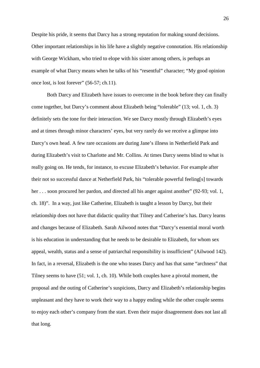Despite his pride, it seems that Darcy has a strong reputation for making sound decisions. Other important relationships in his life have a slightly negative connotation. His relationship with George Wickham, who tried to elope with his sister among others, is perhaps an example of what Darcy means when he talks of his "resentful" character; "My good opinion once lost, is lost forever" (56-57; ch.11).

Both Darcy and Elizabeth have issues to overcome in the book before they can finally come together, but Darcy's comment about Elizabeth being "tolerable" (13; vol. 1, ch. 3) definitely sets the tone for their interaction. We see Darcy mostly through Elizabeth's eyes and at times through minor characters' eyes, but very rarely do we receive a glimpse into Darcy's own head. A few rare occasions are during Jane's illness in Netherfield Park and during Elizabeth's visit to Charlotte and Mr. Collins. At times Darcy seems blind to what is really going on. He tends, for instance, to excuse Elizabeth's behavior. For example after their not so successful dance at Netherfield Park, his "tolerable powerful feeling[s] towards her . . . soon procured her pardon, and directed all his anger against another" (92-93; vol. 1, ch. 18)". In a way, just like Catherine, Elizabeth is taught a lesson by Darcy, but their relationship does not have that didactic quality that Tilney and Catherine's has. Darcy learns and changes because of Elizabeth. Sarah Ailwood notes that "Darcy's essential moral worth is his education in understanding that he needs to be desirable to Elizabeth, for whom sex appeal, wealth, status and a sense of patriarchal responsibility is insufficient" (Ailwood 142). In fact, in a reversal, Elizabeth is the one who teases Darcy and has that same "archness" that Tilney seems to have (51; vol. 1, ch. 10). While both couples have a pivotal moment, the proposal and the outing of Catherine's suspicions, Darcy and Elizabeth's relationship begins unpleasant and they have to work their way to a happy ending while the other couple seems to enjoy each other's company from the start. Even their major disagreement does not last all that long.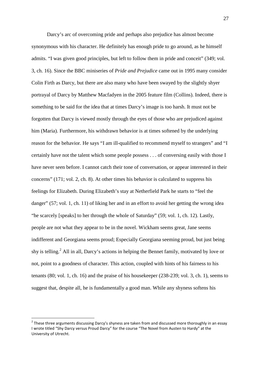Darcy's arc of overcoming pride and perhaps also prejudice has almost become synonymous with his character. He definitely has enough pride to go around, as he himself admits. "I was given good principles, but left to follow them in pride and conceit" (349; vol. 3, ch. 16). Since the BBC miniseries of *Pride and Prejudice* came out in 1995 many consider Colin Firth as Darcy, but there are also many who have been swayed by the slightly shyer portrayal of Darcy by Matthew Macfadyen in the 2005 feature film (Collins). Indeed, there is something to be said for the idea that at times Darcy's image is too harsh. It must not be forgotten that Darcy is viewed mostly through the eyes of those who are prejudiced against him (Maria). Furthermore, his withdrawn behavior is at times softened by the underlying reason for the behavior. He says "I am ill-qualified to recommend myself to strangers" and "I certainly have not the talent which some people possess . . . of conversing easily with those I have never seen before. I cannot catch their tone of conversation, or appear interested in their concerns" (171; vol. 2, ch. 8). At other times his behavior is calculated to suppress his feelings for Elizabeth. During Elizabeth's stay at Netherfield Park he starts to "feel the danger" (57; vol. 1, ch. 11) of liking her and in an effort to avoid her getting the wrong idea "he scarcely [speaks] to her through the whole of Saturday" (59; vol. 1, ch. 12). Lastly, people are not what they appear to be in the novel. Wickham seems great, Jane seems indifferent and Georgiana seems proud; Especially Georgiana seeming proud, but just being shy is telling.<sup>2</sup> All in all, Darcy's actions in helping the Bennet family, motivated by love or not, point to a goodness of character. This action, coupled with hints of his fairness to his tenants (80; vol. 1, ch. 16) and the praise of his housekeeper (238-239; vol. 3, ch. 1), seems to suggest that, despite all, he is fundamentally a good man. While any shyness softens his

 $\overline{a}$ 

<sup>&</sup>lt;sup>2</sup> These three arguments discussing Darcy's shyness are taken from and discussed more thoroughly in an essay I wrote titled "Shy Darcy versus Proud Darcy" for the course "The Novel from Austen to Hardy" at the University of Utrecht.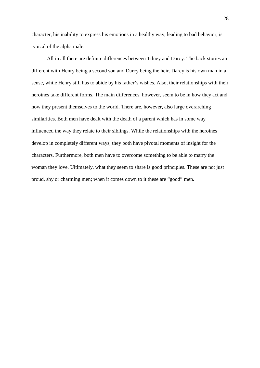character, his inability to express his emotions in a healthy way, leading to bad behavior, is typical of the alpha male.

All in all there are definite differences between Tilney and Darcy. The back stories are different with Henry being a second son and Darcy being the heir. Darcy is his own man in a sense, while Henry still has to abide by his father's wishes. Also, their relationships with their heroines take different forms. The main differences, however, seem to be in how they act and how they present themselves to the world. There are, however, also large overarching similarities. Both men have dealt with the death of a parent which has in some way influenced the way they relate to their siblings. While the relationships with the heroines develop in completely different ways, they both have pivotal moments of insight for the characters. Furthermore, both men have to overcome something to be able to marry the woman they love. Ultimately, what they seem to share is good principles. These are not just proud, shy or charming men; when it comes down to it these are "good" men.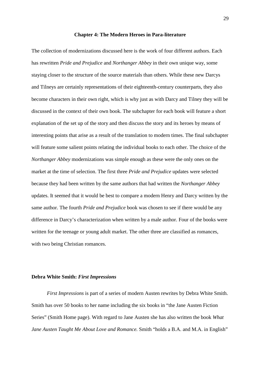#### **Chapter 4: The Modern Heroes in Para-literature**

The collection of modernizations discussed here is the work of four different authors. Each has rewritten *Pride and Prejudice* and *Northanger Abbey* in their own unique way, some staying closer to the structure of the source materials than others. While these new Darcys and Tilneys are certainly representations of their eighteenth-century counterparts, they also become characters in their own right, which is why just as with Darcy and Tilney they will be discussed in the context of their own book. The subchapter for each book will feature a short explanation of the set up of the story and then discuss the story and its heroes by means of interesting points that arise as a result of the translation to modern times. The final subchapter will feature some salient points relating the individual books to each other. The choice of the *Northanger Abbey* modernizations was simple enough as these were the only ones on the market at the time of selection. The first three *Pride and Prejudice* updates were selected because they had been written by the same authors that had written the *Northanger Abbey* updates. It seemed that it would be best to compare a modern Henry and Darcy written by the same author. The fourth *Pride and Prejudice* book was chosen to see if there would be any difference in Darcy's characterization when written by a male author. Four of the books were written for the teenage or young adult market. The other three are classified as romances, with two being Christian romances.

## **Debra White Smith:** *First Impressions*

*First Impressions* is part of a series of modern Austen rewrites by Debra White Smith. Smith has over 50 books to her name including the six books in "the Jane Austen Fiction Series" (Smith Home page). With regard to Jane Austen she has also written the book *What Jane Austen Taught Me About Love and Romance.* Smith "holds a B.A. and M.A. in English"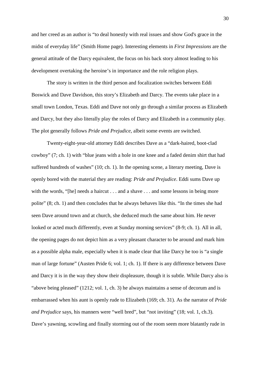and her creed as an author is "to deal honestly with real issues and show God's grace in the midst of everyday life" (Smith Home page). Interesting elements in *First Impressions* are the general attitude of the Darcy equivalent, the focus on his back story almost leading to his development overtaking the heroine's in importance and the role religion plays.

The story is written in the third person and focalization switches between Eddi Boswick and Dave Davidson, this story's Elizabeth and Darcy. The events take place in a small town London, Texas. Eddi and Dave not only go through a similar process as Elizabeth and Darcy, but they also literally play the roles of Darcy and Elizabeth in a community play. The plot generally follows *Pride and Prejudice*, albeit some events are switched.

Twenty-eight-year-old attorney Eddi describes Dave as a "dark-haired, boot-clad cowboy" (7; ch. 1) with "blue jeans with a hole in one knee and a faded denim shirt that had suffered hundreds of washes" (10; ch. 1). In the opening scene, a literary meeting, Dave is openly bored with the material they are reading: *Pride and Prejudice*. Eddi sums Dave up with the words, "[he] needs a haircut . . . and a shave . . . and some lessons in being more polite" (8; ch. 1) and then concludes that he always behaves like this. "In the times she had seen Dave around town and at church, she deduced much the same about him. He never looked or acted much differently, even at Sunday morning services" (8-9; ch. 1). All in all, the opening pages do not depict him as a very pleasant character to be around and mark him as a possible alpha male, especially when it is made clear that like Darcy he too is "a single man of large fortune" (Austen Pride 6; vol. 1; ch. 1). If there is any difference between Dave and Darcy it is in the way they show their displeasure, though it is subtle. While Darcy also is "above being pleased" (1212; vol. 1, ch. 3) he always maintains a sense of decorum and is embarrassed when his aunt is openly rude to Elizabeth (169; ch. 31). As the narrator of *Pride and Prejudice* says, his manners were "well bred", but "not inviting" (18; vol. 1, ch.3). Dave's yawning, scowling and finally storming out of the room seem more blatantly rude in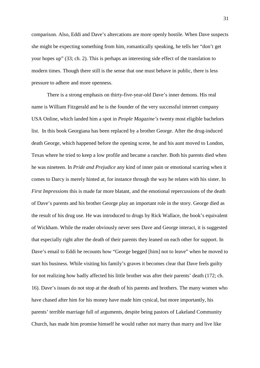comparison. Also, Eddi and Dave's altercations are more openly hostile. When Dave suspects she might be expecting something from him, romantically speaking, he tells her "don't get your hopes up" (33; ch. 2). This is perhaps an interesting side effect of the translation to modern times. Though there still is the sense that one must behave in public, there is less pressure to adhere and more openness.

There is a strong emphasis on thirty-five-year-old Dave's inner demons. His real name is William Fitzgerald and he is the founder of the very successful internet company USA Online, which landed him a spot in *People Magazine's* twenty most eligible bachelors list. In this book Georgiana has been replaced by a brother George. After the drug-induced death George, which happened before the opening scene, he and his aunt moved to London, Texas where he tried to keep a low profile and became a rancher. Both his parents died when he was nineteen. In *Pride and Prejudice* any kind of inner pain or emotional scarring when it comes to Darcy is merely hinted at, for instance through the way he relates with his sister. In *First Impressions* this is made far more blatant*,* and the emotional repercussions of the death of Dave's parents and his brother George play an important role in the story. George died as the result of his drug use. He was introduced to drugs by Rick Wallace, the book's equivalent of Wickham. While the reader obviously never sees Dave and George interact, it is suggested that especially right after the death of their parents they leaned on each other for support. In Dave's email to Eddi he recounts how "George begged [him] not to leave" when he moved to start his business. While visiting his family's graves it becomes clear that Dave feels guilty for not realizing how badly affected his little brother was after their parents' death (172; ch. 16). Dave's issues do not stop at the death of his parents and brothers. The many women who have chased after him for his money have made him cynical, but more importantly, his parents' terrible marriage full of arguments, despite being pastors of Lakeland Community Church, has made him promise himself he would rather not marry than marry and live like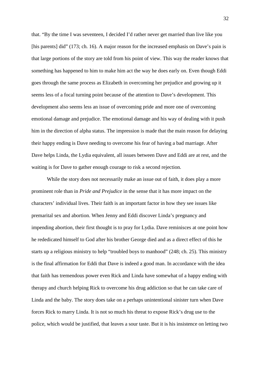that. "By the time I was seventeen, I decided I'd rather never get married than live like you [his parents] did" (173; ch. 16). A major reason for the increased emphasis on Dave's pain is that large portions of the story are told from his point of view. This way the reader knows that something has happened to him to make him act the way he does early on. Even though Eddi goes through the same process as Elizabeth in overcoming her prejudice and growing up it seems less of a focal turning point because of the attention to Dave's development. This development also seems less an issue of overcoming pride and more one of overcoming emotional damage and prejudice. The emotional damage and his way of dealing with it push him in the direction of alpha status. The impression is made that the main reason for delaying their happy ending is Dave needing to overcome his fear of having a bad marriage. After Dave helps Linda, the Lydia equivalent, all issues between Dave and Eddi are at rest, and the waiting is for Dave to gather enough courage to risk a second rejection.

While the story does not necessarily make an issue out of faith, it does play a more prominent role than in *Pride and Prejudice* in the sense that it has more impact on the characters' individual lives. Their faith is an important factor in how they see issues like premarital sex and abortion. When Jenny and Eddi discover Linda's pregnancy and impending abortion, their first thought is to pray for Lydia. Dave reminisces at one point how he rededicated himself to God after his brother George died and as a direct effect of this he starts up a religious ministry to help "troubled boys to manhood" (248; ch. 25). This ministry is the final affirmation for Eddi that Dave is indeed a good man. In accordance with the idea that faith has tremendous power even Rick and Linda have somewhat of a happy ending with therapy and church helping Rick to overcome his drug addiction so that he can take care of Linda and the baby. The story does take on a perhaps unintentional sinister turn when Dave forces Rick to marry Linda. It is not so much his threat to expose Rick's drug use to the police, which would be justified, that leaves a sour taste. But it is his insistence on letting two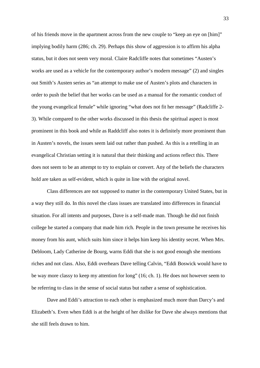of his friends move in the apartment across from the new couple to "keep an eye on [him]" implying bodily harm (286; ch. 29). Perhaps this show of aggression is to affirm his alpha status, but it does not seem very moral. Claire Radcliffe notes that sometimes "Austen's works are used as a vehicle for the contemporary author's modern message" (2) and singles out Smith's Austen series as "an attempt to make use of Austen's plots and characters in order to push the belief that her works can be used as a manual for the romantic conduct of the young evangelical female" while ignoring "what does not fit her message" (Radcliffe 2- 3). While compared to the other works discussed in this thesis the spiritual aspect is most prominent in this book and while as Raddcliff also notes it is definitely more prominent than in Austen's novels, the issues seem laid out rather than pushed. As this is a retelling in an evangelical Christian setting it is natural that their thinking and actions reflect this. There does not seem to be an attempt to try to explain or convert. Any of the beliefs the characters hold are taken as self-evident, which is quite in line with the original novel.

Class differences are not supposed to matter in the contemporary United States, but in a way they still do. In this novel the class issues are translated into differences in financial situation. For all intents and purposes, Dave is a self-made man. Though he did not finish college he started a company that made him rich. People in the town presume he receives his money from his aunt, which suits him since it helps him keep his identity secret. When Mrs. Debloom, Lady Catherine de Bourg, warns Eddi that she is not good enough she mentions riches and not class. Also, Eddi overhears Dave telling Calvin, "Eddi Boswick would have to be way more classy to keep my attention for long" (16; ch. 1). He does not however seem to be referring to class in the sense of social status but rather a sense of sophistication.

Dave and Eddi's attraction to each other is emphasized much more than Darcy's and Elizabeth's. Even when Eddi is at the height of her dislike for Dave she always mentions that she still feels drawn to him.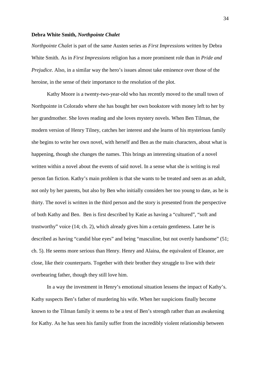### **Debra White Smith,** *Northpointe Chalet*

*Northpointe Chalet* is part of the same Austen series as *First Impressions* written by Debra White Smith. As in *First Impressions* religion has a more prominent role than in *Pride and Prejudice*. Also, in a similar way the hero's issues almost take eminence over those of the heroine, in the sense of their importance to the resolution of the plot.

Kathy Moore is a twenty-two-year-old who has recently moved to the small town of Northpointe in Colorado where she has bought her own bookstore with money left to her by her grandmother. She loves reading and she loves mystery novels. When Ben Tilman, the modern version of Henry Tilney, catches her interest and she learns of his mysterious family she begins to write her own novel, with herself and Ben as the main characters, about what is happening, though she changes the names. This brings an interesting situation of a novel written within a novel about the events of said novel. In a sense what she is writing is real person fan fiction. Kathy's main problem is that she wants to be treated and seen as an adult, not only by her parents, but also by Ben who initially considers her too young to date, as he is thirty. The novel is written in the third person and the story is presented from the perspective of both Kathy and Ben. Ben is first described by Katie as having a "cultured", "soft and trustworthy" voice (14; ch. 2), which already gives him a certain gentleness. Later he is described as having "candid blue eyes" and being "masculine, but not overtly handsome" (51; ch. 5). He seems more serious than Henry. Henry and Alaina, the equivalent of Eleanor, are close, like their counterparts. Together with their brother they struggle to live with their overbearing father, though they still love him.

In a way the investment in Henry's emotional situation lessens the impact of Kathy's. Kathy suspects Ben's father of murdering his wife. When her suspicions finally become known to the Tilman family it seems to be a test of Ben's strength rather than an awakening for Kathy. As he has seen his family suffer from the incredibly violent relationship between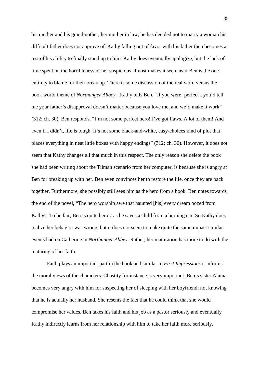his mother and his grandmother, her mother in law, he has decided not to marry a woman his difficult father does not approve of. Kathy falling out of favor with his father then becomes a test of his ability to finally stand up to him. Kathy does eventually apologize, but the lack of time spent on the horribleness of her suspicions almost makes it seem as if Ben is the one entirely to blame for their break up. There is some discussion of the real word versus the book world theme of *Northanger Abbey*. Kathy tells Ben, "If you were [perfect], you'd tell me your father's disapproval doesn't matter because you love me, and we'd make it work" (312; ch. 30). Ben responds, "I'm not some perfect hero! I've got flaws. A lot of them! And even if I didn't, life is tough. It's not some black-and-white, easy-choices kind of plot that places everything in neat little boxes with happy endings" (312; ch. 30). However, it does not seem that Kathy changes all that much in this respect. The only reason she delete the book she had been writing about the Tilman scenario from her computer, is because she is angry at Ben for breaking up with her. Ben even convinces her to restore the file, once they are back together. Furthermore, she possibly still sees him as the hero from a book. Ben notes towards the end of the novel, "The hero worship awe that haunted [his] every dream oozed from Kathy". To be fair, Ben is quite heroic as he saves a child from a burning car. So Kathy does realize her behavior was wrong, but it does not seem to make quite the same impact similar events had on Catherine in *Northanger Abbey*. Rather, her maturation has more to do with the maturing of her faith.

Faith plays an important part in the book and similar to *First Impressions* it informs the moral views of the characters. Chastity for instance is very important. Ben's sister Alaina becomes very angry with him for suspecting her of sleeping with her boyfriend; not knowing that he is actually her husband. She resents the fact that he could think that she would compromise her values. Ben takes his faith and his job as a pastor seriously and eventually Kathy indirectly learns from her relationship with him to take her faith more seriously.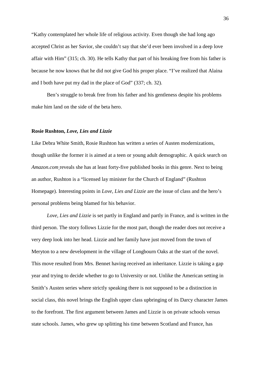"Kathy contemplated her whole life of religious activity. Even though she had long ago accepted Christ as her Savior, she couldn't say that she'd ever been involved in a deep love affair with Him" (315; ch. 30). He tells Kathy that part of his breaking free from his father is because he now knows that he did not give God his proper place. "I've realized that Alaina and I both have put my dad in the place of God" (337; ch. 32).

Ben's struggle to break free from his father and his gentleness despite his problems make him land on the side of the beta hero.

## **Rosie Rushton,** *Love, Lies and Lizzie*

Like Debra White Smith, Rosie Rushton has written a series of Austen modernizations, though unlike the former it is aimed at a teen or young adult demographic. A quick search on *Amazon.com* reveals she has at least forty-five published books in this genre. Next to being an author, Rushton is a "licensed lay minister for the Church of England" (Rushton Homepage). Interesting points in *Love, Lies and Lizzie* are the issue of class and the hero's personal problems being blamed for his behavior.

*Love, Lies and Lizzie* is set partly in England and partly in France, and is written in the third person. The story follows Lizzie for the most part, though the reader does not receive a very deep look into her head. Lizzie and her family have just moved from the town of Meryton to a new development in the village of Longbourn Oaks at the start of the novel. This move resulted from Mrs. Bennet having received an inheritance. Lizzie is taking a gap year and trying to decide whether to go to University or not. Unlike the American setting in Smith's Austen series where strictly speaking there is not supposed to be a distinction in social class, this novel brings the English upper class upbringing of its Darcy character James to the forefront. The first argument between James and Lizzie is on private schools versus state schools. James, who grew up splitting his time between Scotland and France, has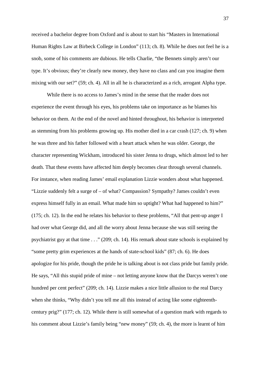received a bachelor degree from Oxford and is about to start his "Masters in International Human Rights Law at Birbeck College in London" (113; ch. 8). While he does not feel he is a snob, some of his comments are dubious. He tells Charlie, "the Bennets simply aren't our type. It's obvious; they're clearly new money, they have no class and can you imagine them mixing with our set?" (59; ch. 4). All in all he is characterized as a rich, arrogant Alpha type.

While there is no access to James's mind in the sense that the reader does not experience the event through his eyes, his problems take on importance as he blames his behavior on them. At the end of the novel and hinted throughout, his behavior is interpreted as stemming from his problems growing up. His mother died in a car crash (127; ch. 9) when he was three and his father followed with a heart attack when he was older. George, the character representing Wickham, introduced his sister Jenna to drugs, which almost led to her death. That these events have affected him deeply becomes clear through several channels. For instance, when reading James' email explanation Lizzie wonders about what happened. "Lizzie suddenly felt a surge of – of what? Compassion? Sympathy? James couldn't even express himself fully in an email. What made him so uptight? What had happened to him?" (175; ch. 12). In the end he relates his behavior to these problems, "All that pent-up anger I had over what George did, and all the worry about Jenna because she was still seeing the psychiatrist guy at that time . . ." (209; ch. 14). His remark about state schools is explained by "some pretty grim experiences at the hands of state-school kids" (87; ch. 6). He does apologize for his pride, though the pride he is talking about is not class pride but family pride. He says, "All this stupid pride of mine – not letting anyone know that the Darcys weren't one hundred per cent perfect" (209; ch. 14). Lizzie makes a nice little allusion to the real Darcy when she thinks, "Why didn't you tell me all this instead of acting like some eighteenthcentury prig?" (177; ch. 12). While there is still somewhat of a question mark with regards to his comment about Lizzie's family being "new money" (59; ch. 4), the more is learnt of him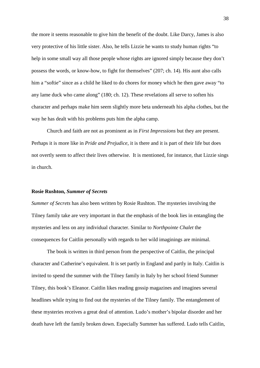the more it seems reasonable to give him the benefit of the doubt. Like Darcy, James is also very protective of his little sister. Also, he tells Lizzie he wants to study human rights "to help in some small way all those people whose rights are ignored simply because they don't possess the words, or know-how, to fight for themselves" (207; ch. 14). His aunt also calls him a "softie" since as a child he liked to do chores for money which he then gave away "to any lame duck who came along" (180; ch. 12). These revelations all serve to soften his character and perhaps make him seem slightly more beta underneath his alpha clothes, but the way he has dealt with his problems puts him the alpha camp.

Church and faith are not as prominent as in *First Impressions* but they are present. Perhaps it is more like in *Pride and Prejudice*, it is there and it is part of their life but does not overtly seem to affect their lives otherwise. It is mentioned, for instance, that Lizzie sings in church.

## **Rosie Rushton,** *Summer of Secrets*

*Summer of Secrets* has also been written by Rosie Rushton. The mysteries involving the Tilney family take are very important in that the emphasis of the book lies in entangling the mysteries and less on any individual character. Similar to *Northpointe Chalet* the consequences for Caitlin personally with regards to her wild imaginings are minimal.

The book is written in third person from the perspective of Caitlin, the principal character and Catherine's equivalent. It is set partly in England and partly in Italy. Caitlin is invited to spend the summer with the Tilney family in Italy by her school friend Summer Tilney, this book's Eleanor. Caitlin likes reading gossip magazines and imagines several headlines while trying to find out the mysteries of the Tilney family. The entanglement of these mysteries receives a great deal of attention. Ludo's mother's bipolar disorder and her death have left the family broken down. Especially Summer has suffered. Ludo tells Caitlin,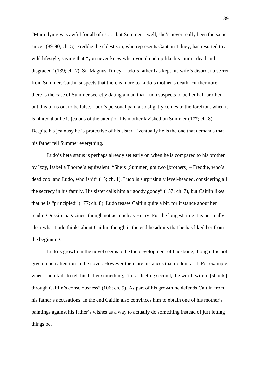"Mum dying was awful for all of us . . . but Summer – well, she's never really been the same since" (89-90; ch. 5). Freddie the eldest son, who represents Captain Tilney, has resorted to a wild lifestyle, saying that "you never knew when you'd end up like his mum - dead and disgraced" (139; ch. 7). Sir Magnus Tilney, Ludo's father has kept his wife's disorder a secret from Summer. Caitlin suspects that there is more to Ludo's mother's death. Furthermore, there is the case of Summer secretly dating a man that Ludo suspects to be her half brother, but this turns out to be false. Ludo's personal pain also slightly comes to the forefront when it is hinted that he is jealous of the attention his mother lavished on Summer (177; ch. 8). Despite his jealousy he is protective of his sister. Eventually he is the one that demands that his father tell Summer everything.

Ludo's beta status is perhaps already set early on when he is compared to his brother by Izzy, Isabella Thorpe's equivalent. "She's [Summer] got two [brothers] – Freddie, who's dead cool and Ludo, who isn't" (15; ch. 1). Ludo is surprisingly level-headed, considering all the secrecy in his family. His sister calls him a "goody goody" (137; ch. 7), but Caitlin likes that he is "principled" (177; ch. 8). Ludo teases Caitlin quite a bit, for instance about her reading gossip magazines, though not as much as Henry. For the longest time it is not really clear what Ludo thinks about Caitlin, though in the end he admits that he has liked her from the beginning.

Ludo's growth in the novel seems to be the development of backbone, though it is not given much attention in the novel. However there are instances that do hint at it. For example, when Ludo fails to tell his father something, "for a fleeting second, the word 'wimp' [shoots] through Caitlin's consciousness" (106; ch. 5). As part of his growth he defends Caitlin from his father's accusations. In the end Caitlin also convinces him to obtain one of his mother's paintings against his father's wishes as a way to actually do something instead of just letting things be.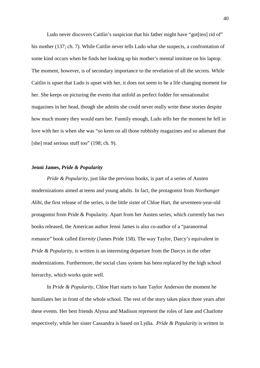Ludo never discovers Caitlin's suspicion that his father might have "got[ten] rid of" his mother (137; ch. 7). While Caitlin never tells Ludo what she suspects, a confrontation of some kind occurs when he finds her looking up his mother's mental institute on his laptop. The moment, however, is of secondary importance to the revelation of all the secrets. While Caitlin is upset that Ludo is upset with her, it does not seem to be a life changing moment for her. She keeps on picturing the events that unfold as perfect fodder for sensationalist magazines in her head, though she admits she could never really write these stories despite how much money they would earn her. Funnily enough, Ludo tells her the moment he fell in love with her is when she was "so keen on all those rubbishy magazines and so adamant that [she] read serious stuff too" (198; ch. 9).

# **Jenni James,** *Pride & Popularity*

*Pride & Popularity*, just like the previous books, is part of a series of Austen modernizations aimed at teens and young adults. In fact, the protagonist from *Northanger Alibi*, the first release of the series, is the little sister of Chloe Hart, the seventeen-year-old protagonist from Pride & Popularity. Apart from her Austen series, which currently has two books released, the American author Jenni James is also co-author of a "paranormal romance" book called *Eternity* (James Pride 158). The way Taylor, Darcy's equivalent in *Pride & Popularity*, is written is an interesting departure from the Darcys in the other modernizations. Furthermore, the social class system has been replaced by the high school hierarchy, which works quite well.

In *Pride & Popularity*, Chloe Hart starts to hate Taylor Anderson the moment he humiliates her in front of the whole school. The rest of the story takes place three years after these events. Her best friends Alyssa and Madison represent the roles of Jane and Charlotte respectively, while her sister Cassandra is based on Lydia. *Pride & Popularity* is written in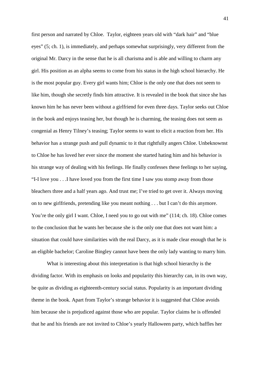first person and narrated by Chloe. Taylor, eighteen years old with "dark hair" and "blue eyes" (5; ch. 1), is immediately, and perhaps somewhat surprisingly, very different from the original Mr. Darcy in the sense that he is all charisma and is able and willing to charm any girl. His position as an alpha seems to come from his status in the high school hierarchy. He is the most popular guy. Every girl wants him; Chloe is the only one that does not seem to like him, though she secretly finds him attractive. It is revealed in the book that since she has known him he has never been without a girlfriend for even three days. Taylor seeks out Chloe in the book and enjoys teasing her, but though he is charming, the teasing does not seem as congenial as Henry Tilney's teasing; Taylor seems to want to elicit a reaction from her. His behavior has a strange push and pull dynamic to it that rightfully angers Chloe. Unbeknownst to Chloe he has loved her ever since the moment she started hating him and his behavior is his strange way of dealing with his feelings. He finally confesses these feelings to her saying, "I-I love you . . .I have loved you from the first time I saw you stomp away from those bleachers three and a half years ago. And trust me; I've tried to get over it. Always moving on to new girlfriends, pretending like you meant nothing . . . but I can't do this anymore. You're the only girl I want. Chloe, I need you to go out with me" (114; ch. 18). Chloe comes to the conclusion that he wants her because she is the only one that does not want him: a situation that could have similarities with the real Darcy, as it is made clear enough that he is an eligible bachelor; Caroline Bingley cannot have been the only lady wanting to marry him.

What is interesting about this interpretation is that high school hierarchy is the dividing factor. With its emphasis on looks and popularity this hierarchy can, in its own way, be quite as dividing as eighteenth-century social status. Popularity is an important dividing theme in the book. Apart from Taylor's strange behavior it is suggested that Chloe avoids him because she is prejudiced against those who are popular. Taylor claims he is offended that he and his friends are not invited to Chloe's yearly Halloween party, which baffles her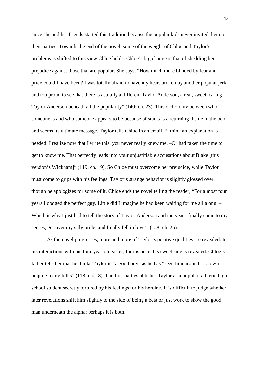since she and her friends started this tradition because the popular kids never invited them to their parties. Towards the end of the novel, some of the weight of Chloe and Taylor's problems is shifted to this view Chloe holds. Chloe's big change is that of shedding her prejudice against those that are popular. She says, "How much more blinded by fear and pride could I have been? I was totally afraid to have my heart broken by another popular jerk, and too proud to see that there is actually a different Taylor Anderson, a real, sweet, caring Taylor Anderson beneath all the popularity" (140; ch. 23). This dichotomy between who someone is and who someone appears to be because of status is a returning theme in the book and seems its ultimate message. Taylor tells Chloe in an email, "I think an explanation is needed. I realize now that I write this, you never really knew me. –Or had taken the time to get to know me. That perfectly leads into your unjustifiable accusations about Blake [this version's Wickham]" (119; ch. 19). So Chloe must overcome her prejudice, while Taylor must come to grips with his feelings. Taylor's strange behavior is slightly glossed over, though he apologizes for some of it. Chloe ends the novel telling the reader, "For almost four years I dodged the perfect guy. Little did I imagine he had been waiting for me all along. – Which is why I just had to tell the story of Taylor Anderson and the year I finally came to my senses, got over my silly pride, and finally fell in love!" (158; ch. 25).

As the novel progresses, more and more of Taylor's positive qualities are revealed. In his interactions with his four-year-old sister, for instance, his sweet side is revealed. Chloe's father tells her that he thinks Taylor is "a good boy" as he has "seen him around . . . town helping many folks" (118; ch. 18). The first part establishes Taylor as a popular, athletic high school student secretly tortured by his feelings for his heroine. It is difficult to judge whether later revelations shift him slightly to the side of being a beta or just work to show the good man underneath the alpha; perhaps it is both.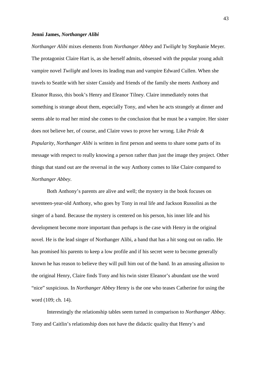## **Jenni James,** *Northanger Alibi*

*Northanger Alibi* mixes elements from *Northanger Abbey* and *Twilight* by Stephanie Meyer. The protagonist Claire Hart is, as she herself admits, obsessed with the popular young adult vampire novel *Twilight* and loves its leading man and vampire Edward Cullen. When she travels to Seattle with her sister Cassidy and friends of the family she meets Anthony and Eleanor Russo, this book's Henry and Eleanor Tilney. Claire immediately notes that something is strange about them, especially Tony, and when he acts strangely at dinner and seems able to read her mind she comes to the conclusion that he must be a vampire. Her sister does not believe her, of course, and Claire vows to prove her wrong. Like *Pride & Popularity, Northanger Alibi* is written in first person and seems to share some parts of its message with respect to really knowing a person rather than just the image they project. Other things that stand out are the reversal in the way Anthony comes to like Claire compared to *Northanger Abbey*.

 Both Anthony's parents are alive and well; the mystery in the book focuses on seventeen-year-old Anthony, who goes by Tony in real life and Jackson Russolini as the singer of a band. Because the mystery is centered on his person, his inner life and his development become more important than perhaps is the case with Henry in the original novel. He is the lead singer of Northanger Alibi, a band that has a hit song out on radio. He has promised his parents to keep a low profile and if his secret were to become generally known he has reason to believe they will pull him out of the band. In an amusing allusion to the original Henry, Claire finds Tony and his twin sister Eleanor's abundant use the word "nice" suspicious. In *Northanger Abbey* Henry is the one who teases Catherine for using the word (109; ch. 14).

Interestingly the relationship tables seem turned in comparison to *Northanger Abbey*. Tony and Caitlin's relationship does not have the didactic quality that Henry's and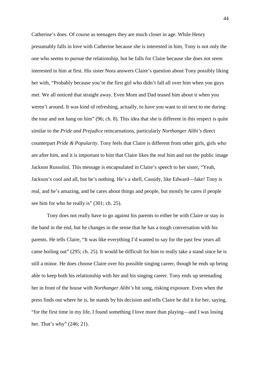Catherine's does. Of course as teenagers they are much closer in age. While Henry presumably falls in love with Catherine because she is interested in him, Tony is not only the one who seems to pursue the relationship, but he falls for Claire because she does not seem interested in him at first. His sister Nora answers Claire's question about Tony possibly liking her with, "Probably because you're the first girl who didn't fall all over him when you guys met. We all noticed that straight away. Even Mom and Dad teased him about it when you weren't around. It was kind of refreshing, actually, to have you want to sit next to me during the tour and not hang on him" (96; ch. 8). This idea that she is different in this respect is quite similar to the *Pride and Prejudice* reincarnations, particularly *Northanger Alibi's* direct counterpart *Pride & Popularity*. Tony feels that Claire is different from other girls, girls who are after him, and it is important to him that Claire likes the real him and not the public image Jackson Russolini. This message is encapsulated in Claire's speech to her sister, "Yeah, Jackson's cool and all, but he's nothing. He's a shell, Cassidy, like Edward—fake! Tony is real, and he's amazing, and he cares about things and people, but mostly he cares if people see him for who he really is" (301; ch. 25).

Tony does not really have to go against his parents to either be with Claire or stay in the band in the end, but he changes in the sense that he has a tough conversation with his parents. He tells Claire, "It was like everything I'd wanted to say for the past few years all came boiling out" (295; ch. 25). It would be difficult for him to really take a stand since he is still a minor. He does choose Claire over his possible singing career, though he ends up being able to keep both his relationship with her and his singing career. Tony ends up serenading her in front of the house with *Northanger Alibi's* hit song, risking exposure. Even when the press finds out where he is, he stands by his decision and tells Claire he did it for her, saying, "for the first time in my life, I found something I love more than playing—and I was losing her. That's why" (246; 21).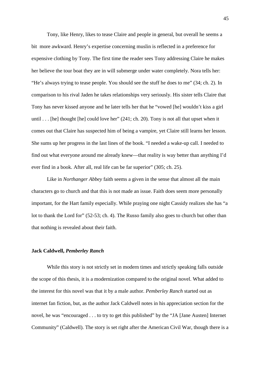Tony, like Henry, likes to tease Claire and people in general, but overall he seems a bit more awkward. Henry's expertise concerning muslin is reflected in a preference for expensive clothing by Tony. The first time the reader sees Tony addressing Claire he makes her believe the tour boat they are in will submerge under water completely. Nora tells her: "He's always trying to tease people. You should see the stuff he does to me" (34; ch. 2). In comparison to his rival Jaden he takes relationships very seriously. His sister tells Claire that Tony has never kissed anyone and he later tells her that he "vowed [he] wouldn't kiss a girl until . . . [he] thought [he] could love her" (241; ch. 20). Tony is not all that upset when it comes out that Claire has suspected him of being a vampire, yet Claire still learns her lesson. She sums up her progress in the last lines of the book. "I needed a wake-up call. I needed to find out what everyone around me already knew—that reality is way better than anything I'd ever find in a book. After all, real life can be far superior" (305; ch. 25).

Like in *Northanger Abbey* faith seems a given in the sense that almost all the main characters go to church and that this is not made an issue. Faith does seem more personally important, for the Hart family especially. While praying one night Cassidy realizes she has "a lot to thank the Lord for" (52-53; ch. 4). The Russo family also goes to church but other than that nothing is revealed about their faith.

## **Jack Caldwell,** *Pemberley Ranch*

While this story is not strictly set in modern times and strictly speaking falls outside the scope of this thesis, it is a modernization compared to the original novel. What added to the interest for this novel was that it by a male author. *Pemberley Ranch* started out as internet fan fiction, but, as the author Jack Caldwell notes in his appreciation section for the novel, he was "encouraged . . . to try to get this published" by the "JA [Jane Austen] Internet Community" (Caldwell). The story is set right after the American Civil War, though there is a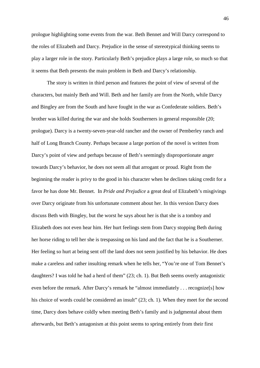prologue highlighting some events from the war. Beth Bennet and Will Darcy correspond to the roles of Elizabeth and Darcy. Prejudice in the sense of stereotypical thinking seems to play a larger role in the story. Particularly Beth's prejudice plays a large role, so much so that it seems that Beth presents the main problem in Beth and Darcy's relationship.

The story is written in third person and features the point of view of several of the characters, but mainly Beth and Will. Beth and her family are from the North, while Darcy and Bingley are from the South and have fought in the war as Confederate soldiers. Beth's brother was killed during the war and she holds Southerners in general responsible (20; prologue). Darcy is a twenty-seven-year-old rancher and the owner of Pemberley ranch and half of Long Branch County. Perhaps because a large portion of the novel is written from Darcy's point of view and perhaps because of Beth's seemingly disproportionate anger towards Darcy's behavior, he does not seem all that arrogant or proud. Right from the beginning the reader is privy to the good in his character when he declines taking credit for a favor he has done Mr. Bennet. In *Pride and Prejudice* a great deal of Elizabeth's misgivings over Darcy originate from his unfortunate comment about her. In this version Darcy does discuss Beth with Bingley, but the worst he says about her is that she is a tomboy and Elizabeth does not even hear him. Her hurt feelings stem from Darcy stopping Beth during her horse riding to tell her she is trespassing on his land and the fact that he is a Southerner. Her feeling so hurt at being sent off the land does not seem justified by his behavior. He does make a careless and rather insulting remark when he tells her, "You're one of Tom Bennet's daughters? I was told he had a herd of them" (23; ch. 1). But Beth seems overly antagonistic even before the remark. After Darcy's remark he "almost immediately . . . recognize[s] how his choice of words could be considered an insult" (23; ch. 1). When they meet for the second time, Darcy does behave coldly when meeting Beth's family and is judgmental about them afterwards, but Beth's antagonism at this point seems to spring entirely from their first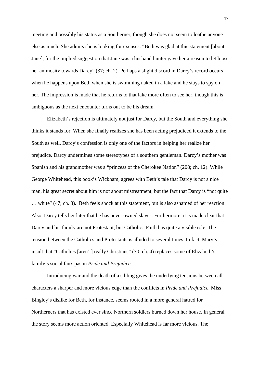meeting and possibly his status as a Southerner, though she does not seem to loathe anyone else as much. She admits she is looking for excuses: "Beth was glad at this statement [about Jane], for the implied suggestion that Jane was a husband hunter gave her a reason to let loose her animosity towards Darcy" (37; ch. 2). Perhaps a slight discord in Darcy's record occurs when he happens upon Beth when she is swimming naked in a lake and he stays to spy on her. The impression is made that he returns to that lake more often to see her, though this is ambiguous as the next encounter turns out to be his dream.

Elizabeth's rejection is ultimately not just for Darcy, but the South and everything she thinks it stands for. When she finally realizes she has been acting prejudiced it extends to the South as well. Darcy's confession is only one of the factors in helping her realize her prejudice. Darcy undermines some stereotypes of a southern gentleman. Darcy's mother was Spanish and his grandmother was a "princess of the Cherokee Nation" (208; ch. 12). While George Whitehead, this book's Wickham, agrees with Beth's tale that Darcy is not a nice man, his great secret about him is not about mistreatment, but the fact that Darcy is "not quite … white" (47; ch. 3). Beth feels shock at this statement, but is also ashamed of her reaction. Also, Darcy tells her later that he has never owned slaves. Furthermore, it is made clear that Darcy and his family are not Protestant, but Catholic. Faith has quite a visible role. The tension between the Catholics and Protestants is alluded to several times. In fact, Mary's insult that "Catholics [aren't] really Christians" (70; ch. 4) replaces some of Elizabeth's family's social faux pas in *Pride and Prejudice*.

Introducing war and the death of a sibling gives the underlying tensions between all characters a sharper and more vicious edge than the conflicts in *Pride and Prejudice*. Miss Bingley's dislike for Beth, for instance, seems rooted in a more general hatred for Northerners that has existed ever since Northern soldiers burned down her house. In general the story seems more action oriented. Especially Whitehead is far more vicious. The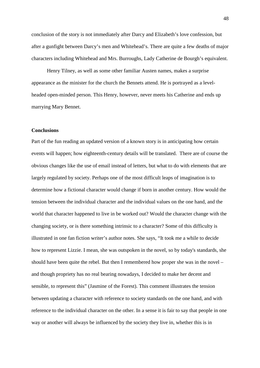conclusion of the story is not immediately after Darcy and Elizabeth's love confession, but after a gunfight between Darcy's men and Whitehead's. There are quite a few deaths of major characters including Whitehead and Mrs. Burroughs, Lady Catherine de Bourgh's equivalent.

 Henry Tilney, as well as some other familiar Austen names, makes a surprise appearance as the minister for the church the Bennets attend. He is portrayed as a levelheaded open-minded person. This Henry, however, never meets his Catherine and ends up marrying Mary Bennet.

## **Conclusions**

Part of the fun reading an updated version of a known story is in anticipating how certain events will happen; how eighteenth-century details will be translated. There are of course the obvious changes like the use of email instead of letters, but what to do with elements that are largely regulated by society. Perhaps one of the most difficult leaps of imagination is to determine how a fictional character would change if born in another century. How would the tension between the individual character and the individual values on the one hand, and the world that character happened to live in be worked out? Would the character change with the changing society, or is there something intrinsic to a character? Some of this difficulty is illustrated in one fan fiction writer's author notes. She says, "It took me a while to decide how to represent Lizzie. I mean, she was outspoken in the novel, so by today's standards, she should have been quite the rebel. But then I remembered how proper she was in the novel – and though propriety has no real bearing nowadays, I decided to make her decent and sensible, to represent this" (Jasmine of the Forest). This comment illustrates the tension between updating a character with reference to society standards on the one hand, and with reference to the individual character on the other. In a sense it is fair to say that people in one way or another will always be influenced by the society they live in, whether this is in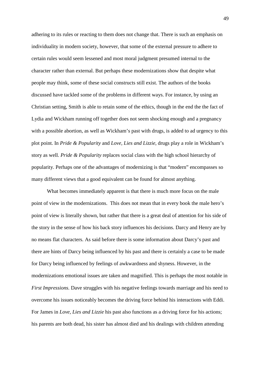adhering to its rules or reacting to them does not change that. There is such an emphasis on individuality in modern society, however, that some of the external pressure to adhere to certain rules would seem lessened and most moral judgment presumed internal to the character rather than external. But perhaps these modernizations show that despite what people may think, some of these social constructs still exist. The authors of the books discussed have tackled some of the problems in different ways. For instance, by using an Christian setting, Smith is able to retain some of the ethics, though in the end the the fact of Lydia and Wickham running off together does not seem shocking enough and a pregnancy with a possible abortion, as well as Wickham's past with drugs, is added to ad urgency to this plot point. In *Pride & Popularity* and *Love, Lies and Lizzie*, drugs play a role in Wickham's story as well. *Pride & Popularity* replaces social class with the high school hierarchy of popularity. Perhaps one of the advantages of modernizing is that "modern" encompasses so many different views that a good equivalent can be found for almost anything.

 What becomes immediately apparent is that there is much more focus on the male point of view in the modernizations. This does not mean that in every book the male hero's point of view is literally shown, but rather that there is a great deal of attention for his side of the story in the sense of how his back story influences his decisions. Darcy and Henry are by no means flat characters. As said before there is some information about Darcy's past and there are hints of Darcy being influenced by his past and there is certainly a case to be made for Darcy being influenced by feelings of awkwardness and shyness. However, in the modernizations emotional issues are taken and magnified. This is perhaps the most notable in *First Impressions.* Dave struggles with his negative feelings towards marriage and his need to overcome his issues noticeably becomes the driving force behind his interactions with Eddi. For James in *Love, Lies and Lizzie* his past also functions as a driving force for his actions; his parents are both dead, his sister has almost died and his dealings with children attending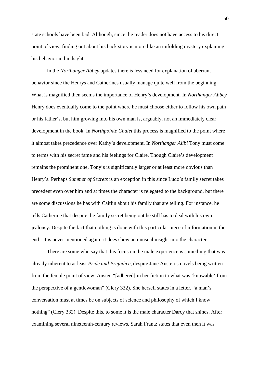state schools have been bad. Although, since the reader does not have access to his direct point of view, finding out about his back story is more like an unfolding mystery explaining his behavior in hindsight.

In the *Northanger Abbey* updates there is less need for explanation of aberrant behavior since the Henrys and Catherines usually manage quite well from the beginning. What is magnified then seems the importance of Henry's development. In *Northanger Abbey* Henry does eventually come to the point where he must choose either to follow his own path or his father's, but him growing into his own man is, arguably, not an immediately clear development in the book. In *Northpointe Chalet* this process is magnified to the point where it almost takes precedence over Kathy's development. In *Northanger Alibi* Tony must come to terms with his secret fame and his feelings for Claire. Though Claire's development remains the prominent one, Tony's is significantly larger or at least more obvious than Henry's. Perhaps *Summer of Secrets* is an exception in this since Ludo's family secret takes precedent even over him and at times the character is relegated to the background, but there are some discussions he has with Caitlin about his family that are telling. For instance, he tells Catherine that despite the family secret being out he still has to deal with his own jealousy. Despite the fact that nothing is done with this particular piece of information in the end - it is never mentioned again- it does show an unusual insight into the character.

There are some who say that this focus on the male experience is something that was already inherent to at least *Pride and Prejudice,* despite Jane Austen's novels being written from the female point of view. Austen "[adhered] in her fiction to what was 'knowable' from the perspective of a gentlewoman" (Clery 332). She herself states in a letter, "a man's conversation must at times be on subjects of science and philosophy of which I know nothing" (Clery 332). Despite this, to some it is the male character Darcy that shines. After examining several nineteenth-century reviews, Sarah Frantz states that even then it was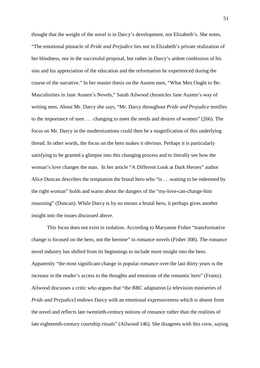thought that the weight of the novel is in Darcy's development, not Elizabeth's. She notes,

"The emotional pinnacle of *Pride and Prejudice* lies not in Elizabeth's private realization of her blindness, nor in the successful proposal, but rather in Darcy's ardent confession of his sins and his appreciation of the education and the reformation he experienced during the course of the narrative." In her master thesis on the Austen men, "What Men Ought to Be: Masculinities in Jane Austen's Novels," Sarah Ailwood chronicles Jane Austen's way of writing men. About Mr. Darcy she says, "Mr. Darcy throughout *Pride and Prejudice* testifies to the importance of men . . . changing to meet the needs and desires of women" (266). The focus on Mr. Darcy in the modernizations could then be a magnification of this underlying thread. In other words, the focus on the hero makes it obvious. Perhaps it is particularly satisfying to be granted a glimpse into this changing process and to literally see how the woman's love changes the man. In her article "A Different Look at Dark Heroes" author Alice Duncan describes the temptation the brutal hero who "is . . .waiting to be redeemed by the right woman" holds and warns about the dangers of the "my-love-can-change-him reasoning" (Duncan). While Darcy is by no means a brutal hero, it perhaps gives another insight into the issues discussed above.

This focus does not exist in isolation. According to Maryanne Fisher "transformative change is focused on the hero, not the heroine" in romance novels (Fisher 308). The romance novel industry has shifted from its beginnings to include more insight into the hero. Apparently "the most significant change in popular romance over the last thirty years is the increase in the reader's access to the thoughts and emotions of the romantic hero" (Frantz). Ailwood discusses a critic who argues that "the BBC adaptation [a television miniseries of *Pride and Prejudice*] endows Darcy with an emotional expressiveness which is absent from the novel and reflects late twentieth-century notions of romance rather than the realities of late eighteenth-century courtship rituals" (Ailwood 146). She disagrees with this view, saying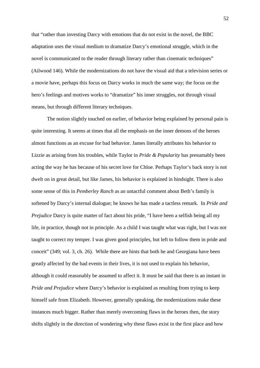that "rather than investing Darcy with emotions that do not exist in the novel, the BBC adaptation uses the visual medium to dramatize Darcy's emotional struggle, which in the novel is communicated to the reader through literary rather than cinematic techniques" (Ailwood 146). While the modernizations do not have the visual aid that a television series or a movie have, perhaps this focus on Darcy works in much the same way; the focus on the hero's feelings and motives works to "dramatize" his inner struggles, not through visual means, but through different literary techniques.

The notion slightly touched on earlier, of behavior being explained by personal pain is quite interesting. It seems at times that all the emphasis on the inner demons of the heroes almost functions as an excuse for bad behavior. James literally attributes his behavior to Lizzie as arising from his troubles, while Taylor in *Pride & Popularity* has presumably been acting the way he has because of his secret love for Chloe. Perhaps Taylor's back story is not dwelt on in great detail, but like James, his behavior is explained in hindsight. There is also some sense of this in *Pemberley Ranch* as an untactful comment about Beth's family is softened by Darcy's internal dialogue; he knows he has made a tactless remark. In *Pride and Prejudice* Darcy is quite matter of fact about his pride, "I have been a selfish being all my life, in practice, though not in principle. As a child I was taught what was right, but I was not taught to correct my temper. I was given good principles, but left to follow them in pride and conceit" (349; vol. 3, ch. 26). While there are hints that both he and Georgiana have been greatly affected by the bad events in their lives, it is not used to explain his behavior, although it could reasonably be assumed to affect it. It must be said that there is an instant in *Pride and Prejudice* where Darcy's behavior is explained as resulting from trying to keep himself safe from Elizabeth. However, generally speaking, the modernizations make these instances much bigger. Rather than merely overcoming flaws in the heroes then, the story shifts slightly in the direction of wondering why these flaws exist in the first place and how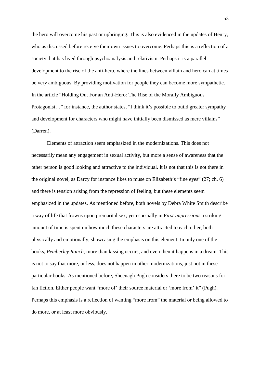the hero will overcome his past or upbringing. This is also evidenced in the updates of Henry, who as discussed before receive their own issues to overcome. Perhaps this is a reflection of a society that has lived through psychoanalysis and relativism. Perhaps it is a parallel development to the rise of the anti-hero, where the lines between villain and hero can at times be very ambiguous. By providing motivation for people they can become more sympathetic. In the article "Holding Out For an Anti-Hero: The Rise of the Morally Ambiguous Protagonist…" for instance, the author states, "I think it's possible to build greater sympathy and development for characters who might have initially been dismissed as mere villains" (Darren).

Elements of attraction seem emphasized in the modernizations. This does not necessarily mean any engagement in sexual activity, but more a sense of awareness that the other person is good looking and attractive to the individual. It is not that this is not there in the original novel, as Darcy for instance likes to muse on Elizabeth's "fine eyes" (27; ch. 6) and there is tension arising from the repression of feeling, but these elements seem emphasized in the updates. As mentioned before, both novels by Debra White Smith describe a way of life that frowns upon premarital sex, yet especially in F*irst Impressions* a striking amount of time is spent on how much these characters are attracted to each other, both physically and emotionally, showcasing the emphasis on this element. In only one of the books, *Pemberley Ranch*, more than kissing occurs, and even then it happens in a dream. This is not to say that more, or less, does not happen in other modernizations, just not in these particular books. As mentioned before, Sheenagh Pugh considers there to be two reasons for fan fiction. Either people want "more of' their source material or 'more from' it" (Pugh). Perhaps this emphasis is a reflection of wanting "more from" the material or being allowed to do more, or at least more obviously.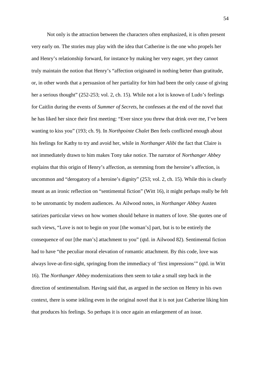Not only is the attraction between the characters often emphasized, it is often present very early on. The stories may play with the idea that Catherine is the one who propels her and Henry's relationship forward, for instance by making her very eager, yet they cannot truly maintain the notion that Henry's "affection originated in nothing better than gratitude, or, in other words that a persuasion of her partiality for him had been the only cause of giving her a serious thought" (252-253; vol. 2, ch. 15). While not a lot is known of Ludo's feelings for Caitlin during the events of *Summer of Secrets*, he confesses at the end of the novel that he has liked her since their first meeting: "Ever since you threw that drink over me, I've been wanting to kiss you" (193; ch. 9). In *Northpointe Chalet* Ben feels conflicted enough about his feelings for Kathy to try and avoid her, while in *Northanger Alibi* the fact that Claire is not immediately drawn to him makes Tony take notice. The narrator of *Northanger Abbey*  explains that this origin of Henry's affection, as stemming from the heroine's affection, is uncommon and "derogatory of a heroine's dignity" (253; vol. 2, ch. 15). While this is clearly meant as an ironic reflection on "sentimental fiction" (Witt 16), it might perhaps really be felt to be unromantic by modern audiences. As Ailwood notes, in *Northanger Abbey* Austen satirizes particular views on how women should behave in matters of love. She quotes one of such views, "Love is not to begin on your [the woman's] part, but is to be entirely the consequence of our [the man's] attachment to you" (qtd. in Ailwood 82). Sentimental fiction had to have "the peculiar moral elevation of romantic attachment. By this code, love was always love-at-first-sight, springing from the immediacy of 'first impressions'" (qtd. in Witt 16). The *Northanger Abbey* modernizations then seem to take a small step back in the direction of sentimentalism. Having said that, as argued in the section on Henry in his own context, there is some inkling even in the original novel that it is not just Catherine liking him that produces his feelings. So perhaps it is once again an enlargement of an issue.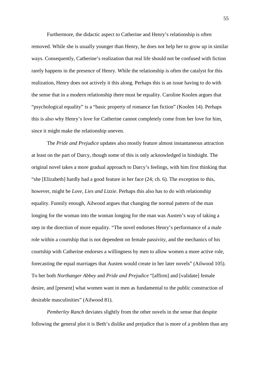Furthermore, the didactic aspect to Catherine and Henry's relationship is often removed. While she is usually younger than Henry, he does not help her to grow up in similar ways. Consequently, Catherine's realization that real life should not be confused with fiction rarely happens in the presence of Henry. While the relationship is often the catalyst for this realization, Henry does not actively it this along. Perhaps this is an issue having to do with the sense that in a modern relationship there must be equality. Caroline Koolen argues that "psychological equality" is a "basic property of romance fan fiction" (Koolen 14). Perhaps this is also why Henry's love for Catherine cannot completely come from her love for him, since it might make the relationship uneven.

The *Pride and Prejudice* updates also mostly feature almost instantaneous attraction at least on the part of Darcy, though some of this is only acknowledged in hindsight. The original novel takes a more gradual approach to Darcy's feelings, with him first thinking that "she [Elizabeth] hardly had a good feature in her face (24; ch. 6). The exception to this, however, might be *Love, Lies and Lizzie*. Perhaps this also has to do with relationship equality. Funnily enough, Ailwood argues that changing the normal pattern of the man longing for the woman into the woman longing for the man was Austen's way of taking a step in the direction of more equality. "The novel endorses Henry's performance of a male role within a courtship that is not dependent on female passivity, and the mechanics of his courtship with Catherine endorses a willingness by men to allow women a more active role, forecasting the equal marriages that Austen would create in her later novels" (Ailwood 105). To her both *Northanger Abbey* and *Pride and Prejudice* "[affirm] and [validate] female desire, and [present] what women want in men as fundamental to the public construction of desirable masculinities" (Ailwood 81).

*Pemberley Ranch* deviates slightly from the other novels in the sense that despite following the general plot it is Beth's dislike and prejudice that is more of a problem than any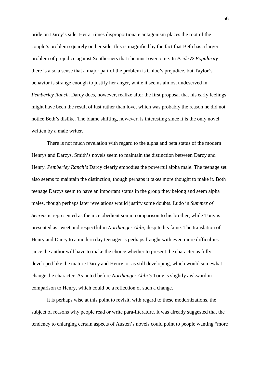pride on Darcy's side. Her at times disproportionate antagonism places the root of the couple's problem squarely on her side; this is magnified by the fact that Beth has a larger problem of prejudice against Southerners that she must overcome. In *Pride & Popularity* there is also a sense that a major part of the problem is Chloe's prejudice, but Taylor's behavior is strange enough to justify her anger, while it seems almost undeserved in *Pemberley Ranch*. Darcy does, however, realize after the first proposal that his early feelings might have been the result of lust rather than love, which was probably the reason he did not notice Beth's dislike. The blame shifting, however, is interesting since it is the only novel written by a male writer.

There is not much revelation with regard to the alpha and beta status of the modern Henrys and Darcys. Smith's novels seem to maintain the distinction between Darcy and Henry. *Pemberley Ranch's* Darcy clearly embodies the powerful alpha male. The teenage set also seems to maintain the distinction, though perhaps it takes more thought to make it. Both teenage Darcys seem to have an important status in the group they belong and seem alpha males, though perhaps later revelations would justify some doubts. Ludo in *Summer of Secrets* is represented as the nice obedient son in comparison to his brother, while Tony is presented as sweet and respectful in *Northanger Alibi,* despite his fame. The translation of Henry and Darcy to a modern day teenager is perhaps fraught with even more difficulties since the author will have to make the choice whether to present the character as fully developed like the mature Darcy and Henry, or as still developing, which would somewhat change the character. As noted before *Northanger Alibi's* Tony is slightly awkward in comparison to Henry, which could be a reflection of such a change.

It is perhaps wise at this point to revisit, with regard to these modernizations, the subject of reasons why people read or write para-literature. It was already suggested that the tendency to enlarging certain aspects of Austen's novels could point to people wanting "more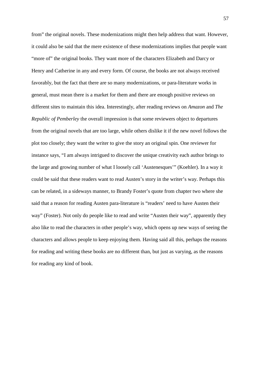from" the original novels. These modernizations might then help address that want. However, it could also be said that the mere existence of these modernizations implies that people want "more of" the original books. They want more of the characters Elizabeth and Darcy or Henry and Catherine in any and every form. Of course, the books are not always received favorably, but the fact that there are so many modernizations, or para-literature works in general, must mean there is a market for them and there are enough positive reviews on different sites to maintain this idea. Interestingly, after reading reviews on *Amazon* and *The Republic of Pemberley* the overall impression is that some reviewers object to departures from the original novels that are too large, while others dislike it if the new novel follows the plot too closely; they want the writer to give the story an original spin. One reviewer for instance says, "I am always intrigued to discover the unique creativity each author brings to the large and growing number of what I loosely call 'Austenesques'" (Koehler). In a way it could be said that these readers want to read Austen's story in the writer's way. Perhaps this can be related, in a sideways manner, to Brandy Foster's quote from chapter two where she said that a reason for reading Austen para-literature is "readers' need to have Austen their way" (Foster). Not only do people like to read and write "Austen their way", apparently they also like to read the characters in other people's way, which opens up new ways of seeing the characters and allows people to keep enjoying them. Having said all this, perhaps the reasons for reading and writing these books are no different than, but just as varying, as the reasons for reading any kind of book.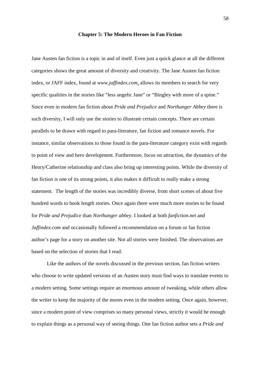#### **Chapter 5: The Modern Heroes in Fan Fiction**

Jane Austen fan fiction is a topic in and of itself. Even just a quick glance at all the different categories shows the great amount of diversity and creativity. The Jane Austen fan fiction index, or JAFF index, found at *www.jaffindex.com*, allows its members to search for very specific qualities in the stories like "less angelic Jane" or "Bingley with more of a spine." Since even in modern fan fiction about *Pride and Prejudice* and *Northanger Abbey* there is such diversity, I will only use the stories to illustrate certain concepts. There are certain parallels to be drawn with regard to para-literature, fan fiction and romance novels. For instance, similar observations to those found in the para-literature category exist with regards to point of view and hero development. Furthermore, focus on attraction, the dynamics of the Henry/Catherine relationship and class also bring up interesting points. While the diversity of fan fiction is one of its strong points, it also makes it difficult to really make a strong statement. The length of the stories was incredibly diverse, from short scenes of about five hundred words to book length stories. Once again there were much more stories to be found for *Pride and Prejudice* than *Northanger abbey*. I looked at both *fanfiction.net* and *Jaffindex.com* and occasionally followed a recommendation on a forum or fan fiction author's page for a story on another site. Not all stories were finished. The observations are based on the selection of stories that I read.

Like the authors of the novels discussed in the previous section, fan fiction writers who choose to write updated versions of an Austen story must find ways to translate events to a modern setting. Some settings require an enormous amount of tweaking, while others allow the writer to keep the majority of the mores even in the modern setting. Once again, however, since a modern point of view comprises so many personal views, strictly it would be enough to explain things as a personal way of seeing things. One fan fiction author sets a *Pride and*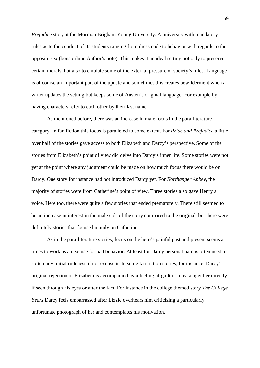*Prejudice* story at the Mormon Brigham Young University. A university with mandatory rules as to the conduct of its students ranging from dress code to behavior with regards to the opposite sex (bonsoirlune Author's note). This makes it an ideal setting not only to preserve certain morals, but also to emulate some of the external pressure of society's rules. Language is of course an important part of the update and sometimes this creates bewilderment when a writer updates the setting but keeps some of Austen's original language; For example by having characters refer to each other by their last name.

 As mentioned before, there was an increase in male focus in the para-literature category. In fan fiction this focus is paralleled to some extent. For *Pride and Prejudice* a little over half of the stories gave access to both Elizabeth and Darcy's perspective. Some of the stories from Elizabeth's point of view did delve into Darcy's inner life. Some stories were not yet at the point where any judgment could be made on how much focus there would be on Darcy. One story for instance had not introduced Darcy yet. For *Northanger Abbey*, the majority of stories were from Catherine's point of view. Three stories also gave Henry a voice. Here too, there were quite a few stories that ended prematurely. There still seemed to be an increase in interest in the male side of the story compared to the original, but there were definitely stories that focused mainly on Catherine.

As in the para-literature stories, focus on the hero's painful past and present seems at times to work as an excuse for bad behavior. At least for Darcy personal pain is often used to soften any initial rudeness if not excuse it. In some fan fiction stories, for instance, Darcy's original rejection of Elizabeth is accompanied by a feeling of guilt or a reason; either directly if seen through his eyes or after the fact. For instance in the college themed story *The College Years* Darcy feels embarrassed after Lizzie overhears him criticizing a particularly unfortunate photograph of her and contemplates his motivation.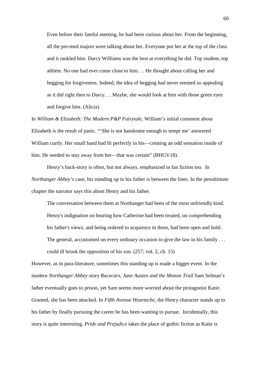Even before their fateful meeting, he had been curious about her. From the beginning, all the pre-med majors were talking about her. Everyone put her at the top of the class and it rankled him. Darcy Williams was the best at everything he did. Top student, top athlete. No one had ever come close to him. . . He thought about calling her and begging for forgiveness. Indeed, the idea of begging had never seemed so appealing as it did right then to Darcy. . . Maybe, she would look at him with those green eyes and forgive him. (Alicia)

In *William & Elizabeth: The Modern P&P Fairytale*, William's initial comment about Elizabeth is the result of panic. "'She is not handsome enough to tempt me' answered William curtly. Her small hand had fit perfectly in his—creating an odd sensation inside of him. He needed to stay away from her—that was certain" (BHGV18).

Henry's back-story is often, but not always, emphasized in fan fiction too. In *Northanger Abbey's* case, his standing up to his father is between the lines. In the penultimate chapter the narrator says this about Henry and his father.

The conversation between them at Northanger had been of the most unfriendly kind. Henry's indignation on hearing how Catherine had been treated, on comprehending his father's views, and being ordered to acquiesce in them, had been open and bold. The general, accustomed on every ordinary occasion to give the law in his family ... could ill brook the opposition of his son. (257; vol. 2, ch. 15)

However, as in para-literature, sometimes this standing up is made a bigger event. In the modern *Northanger Abbey* story *Racecars, Jane Austen and the Monon Trail* Sam Selman's father eventually goes to prison, yet Sam seems more worried about the protagonist Katie. Granted, she has been attacked. In *Fifth Avenue Heartache,* the Henry character stands up to his father by finally pursuing the career he has been wanting to pursue. Incidentally, this story is quite interesting. *Pride and Prejudice* takes the place of gothic fiction as Katie is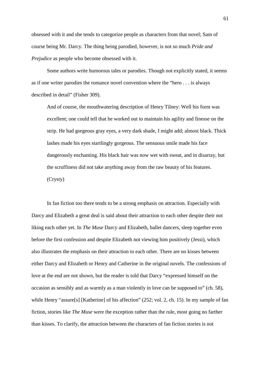obsessed with it and she tends to categorize people as characters from that novel; Sam of course being Mr. Darcy. The thing being parodied, however, is not so much *Pride and Prejudice* as people who become obsessed with it.

 Some authors write humorous tales or parodies. Though not explicitly stated, it seems as if one writer parodies the romance novel convention where the "hero . . . is always described in detail" (Fisher 309).

And of course, the mouthwatering description of Henry Tilney: Well his form was excellent; one could tell that he worked out to maintain his agility and finesse on the strip. He had gorgeous gray eyes, a very dark shade, I might add; almost black. Thick lashes made his eyes startlingly gorgeous. The sensuous smile made his face dangerously enchanting. His black hair was now wet with sweat, and in disarray, but the scruffiness did not take anything away from the raw beauty of his features. (Crysty)

In fan fiction too there tends to be a strong emphasis on attraction. Especially with Darcy and Elizabeth a great deal is said about their attraction to each other despite their not liking each other yet. In *The Muse* Darcy and Elizabeth, ballet dancers, sleep together even before the first confession and despite Elizabeth not viewing him positively (Jessi), which also illustrates the emphasis on their attraction to each other. There are no kisses between either Darcy and Elizabeth or Henry and Catherine in the original novels. The confessions of love at the end are not shown, but the reader is told that Darcy "expressed himself on the occasion as sensibly and as warmly as a man violently in love can be supposed to" (ch. 58), while Henry "assure[s] [Katherine] of his affection" (252; vol. 2, ch. 15). In my sample of fan fiction, stories like *The Muse* were the exception rather than the rule, most going no farther than kisses. To clarify, the attraction between the characters of fan fiction stories is not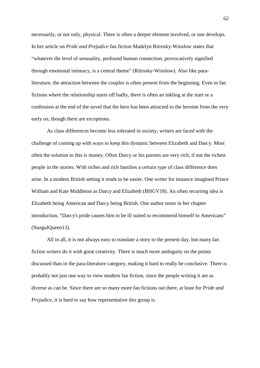necessarily, or not only, physical. There is often a deeper element involved, or one develops. In her article on *Pride and Prejudice* fan fiction Madelyn Ritrosky-Winslow states that "whatever the level of sensuality, profound human connection, provocatively signified through emotional intimacy, is a central theme" (Ritrosky-Winslow). Also like paraliterature, the attraction between the couples is often present from the beginning. Even in fan fictions where the relationship starts off badly, there is often an inkling at the start or a confession at the end of the novel that the hero has been attracted to the heroine from the very early on, though there are exceptions.

As class differences become less tolerated in society, writers are faced with the challenge of coming up with ways to keep this dynamic between Elizabeth and Darcy. Most often the solution to this is money. Often Darcy or his parents are very rich, if not the richest people in the stories. With riches and rich families a certain type of class difference does arise. In a modern British setting it tends to be easier. One writer for instance imagined Prince William and Kate Middleton as Darcy and Elizabeth (BHGV18). An often recurring idea is Elizabeth being American and Darcy being British. One author notes in her chapter introduction, "Darcy's pride causes him to be ill suited to recommend himself to Americans" (NazgulQueen13).

 All in all, it is not always easy to translate a story to the present day, but many fan fiction writers do it with great creativity. There is much more ambiguity on the points discussed than in the para-literature category, making it hard to really be conclusive. There is probably not just one way to view modern fan fiction, since the people writing it are as diverse as can be. Since there are so many more fan fictions out there, at least for *Pride and Prejudice*, it is hard to say how representative this group is.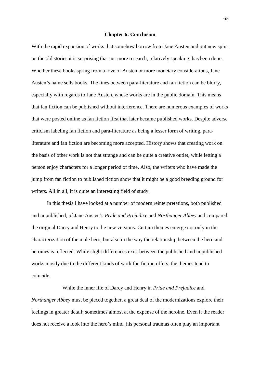## **Chapter 6: Conclusion**

With the rapid expansion of works that somehow borrow from Jane Austen and put new spins on the old stories it is surprising that not more research, relatively speaking, has been done. Whether these books spring from a love of Austen or more monetary considerations, Jane Austen's name sells books. The lines between para-literature and fan fiction can be blurry, especially with regards to Jane Austen, whose works are in the public domain. This means that fan fiction can be published without interference. There are numerous examples of works that were posted online as fan fiction first that later became published works. Despite adverse criticism labeling fan fiction and para-literature as being a lesser form of writing, paraliterature and fan fiction are becoming more accepted. History shows that creating work on the basis of other work is not that strange and can be quite a creative outlet, while letting a person enjoy characters for a longer period of time. Also, the writers who have made the jump from fan fiction to published fiction show that it might be a good breeding ground for writers. All in all, it is quite an interesting field of study.

In this thesis I have looked at a number of modern reinterpretations, both published and unpublished, of Jane Austen's *Pride and Prejudice* and *Northanger Abbey* and compared the original Darcy and Henry to the new versions. Certain themes emerge not only in the characterization of the male hero, but also in the way the relationship between the hero and heroines is reflected. While slight differences exist between the published and unpublished works mostly due to the different kinds of work fan fiction offers, the themes tend to coincide.

 While the inner life of Darcy and Henry in *Pride and Prejudice* and *Northanger Abbey* must be pieced together, a great deal of the modernizations explore their feelings in greater detail; sometimes almost at the expense of the heroine. Even if the reader does not receive a look into the hero's mind, his personal traumas often play an important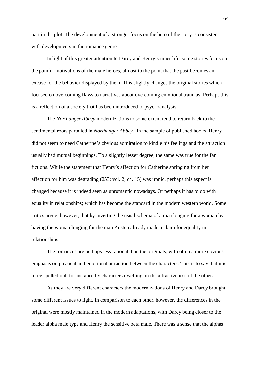part in the plot. The development of a stronger focus on the hero of the story is consistent with developments in the romance genre.

In light of this greater attention to Darcy and Henry's inner life, some stories focus on the painful motivations of the male heroes, almost to the point that the past becomes an excuse for the behavior displayed by them. This slightly changes the original stories which focused on overcoming flaws to narratives about overcoming emotional traumas. Perhaps this is a reflection of a society that has been introduced to psychoanalysis.

 The *Northanger Abbey* modernizations to some extent tend to return back to the sentimental roots parodied in *Northanger Abbey*. In the sample of published books, Henry did not seem to need Catherine's obvious admiration to kindle his feelings and the attraction usually had mutual beginnings. To a slightly lesser degree, the same was true for the fan fictions. While the statement that Henry's affection for Catherine springing from her affection for him was degrading (253; vol. 2, ch. 15) was ironic, perhaps this aspect is changed because it is indeed seen as unromantic nowadays. Or perhaps it has to do with equality in relationships; which has become the standard in the modern western world. Some critics argue, however, that by inverting the usual schema of a man longing for a woman by having the woman longing for the man Austen already made a claim for equality in relationships.

The romances are perhaps less rational than the originals, with often a more obvious emphasis on physical and emotional attraction between the characters. This is to say that it is more spelled out, for instance by characters dwelling on the attractiveness of the other.

 As they are very different characters the modernizations of Henry and Darcy brought some different issues to light. In comparison to each other, however, the differences in the original were mostly maintained in the modern adaptations, with Darcy being closer to the leader alpha male type and Henry the sensitive beta male. There was a sense that the alphas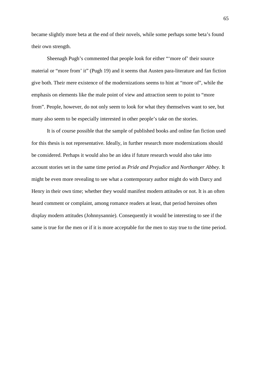became slightly more beta at the end of their novels, while some perhaps some beta's found their own strength.

 Sheenagh Pugh's commented that people look for either "'more of' their source material or "more from' it" (Pugh 19) and it seems that Austen para-literature and fan fiction give both. Their mere existence of the modernizations seems to hint at "more of", while the emphasis on elements like the male point of view and attraction seem to point to "more from". People, however, do not only seem to look for what they themselves want to see, but many also seem to be especially interested in other people's take on the stories.

 It is of course possible that the sample of published books and online fan fiction used for this thesis is not representative. Ideally, in further research more modernizations should be considered. Perhaps it would also be an idea if future research would also take into account stories set in the same time period as *Pride and Prejudice* and *Northanger Abbey.* It might be even more revealing to see what a contemporary author might do with Darcy and Henry in their own time; whether they would manifest modern attitudes or not. It is an often heard comment or complaint, among romance readers at least, that period heroines often display modern attitudes (Johnnysannie). Consequently it would be interesting to see if the same is true for the men or if it is more acceptable for the men to stay true to the time period.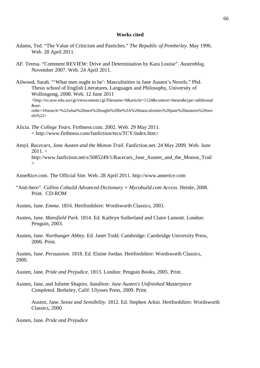## **Works cited**

- Adams, Ted. "The Value of Criticism and Pastiches." *The Republic of Pemberley.* May 1996. Web. 28 April 2011.
- AF. Teresa. "Comment REVIEW: Drive and Determination by Kara Louise". *Austenblog*. November 2007. Web. 24 April 2011.
- Ailwood, Sarah. "'What men ought to be': Masculinities in Jane Austen's Novels." Phd. Thesis school of English Literatures, Languages and Philosophy, University of Wollongong, 2008. Web. 12 June 2011 <http://ro.uow.edu.au/cgi/viewcontent.cgi?filename=0&article=1124&context=theses&type=additional &seiredir=1#search=%22what%20men%20ought%20be%3A%20masculinities%20jane%20austens%20nov els%22>
- Alicia. *The College Years*. Firthness.com. 2002. Web. 29 May 2011. < http://www.firthness.com/fanfiction/recs/TCY/index.htm>
- AmyI. *Racecars, Jane Austen and the Monon Trail.* Fanfiction.net. 24 May 2009. Web. June  $2011 <$ http://www.fanfiction.net/s/5085249/1/Racecars\_Jane\_Austen\_and\_the\_Monon\_Trail  $\rightarrow$
- AnneRice.com. The Official Site. Web. 28 April 2011. http://www.annerice.com
- "Anti-hero". *Collins Cobuild Advanced Dictionary + Mycobuild.com Access*. Heinle, 2008. Print. CD-ROM
- Austen, Jane. *Emma*. 1816. Hertfordshire: Wordsworth Classics, 2003.
- Austen, Jane. *Mansfield Park*. 1814. Ed. Kathryn Sutherland and Claire Lamont. London: Penguin, 2003.
- Austen, Jane*. Northanger Abbey.* Ed. Janet Todd. Cambridge: Cambridge University Press, 2006. Print.

Austen, Jane. *Persuasion*. 1818. Ed. Elaine Jordan. Hertfordshire: Wordsworth Classics, 2000.

- Austen, Jane*. Pride and Prejudice.* 1813. London: Penguin Books, 2005. Print.
- Austen, Jane, and Juliette Shapiro. *Sanditon: Jane Austen's Unfinished Masterpiece Completed.* Berkeley, Calif: Ulysses Press, 2009. Print.

Austen, Jane. *Sense and Sensibility.* 1812. Ed. Stephen Arkin. Hertfordshire: Wordsworth Classics, 2000.

Austen, Jane. *Pride and Prejudice*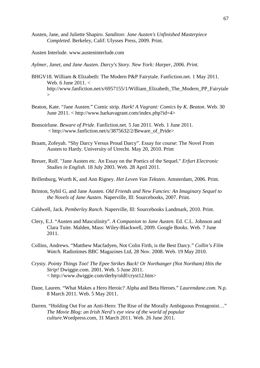Austen, Jane, and Juliette Shapiro. *Sanditon: Jane Austen's Unfinished Masterpiece Completed*. Berkeley, Calif: Ulysses Press, 2009. Print.

Austen Interlude. www.austeninterlude.com

- *Aylmer, Janet, and Jane Austen. Darcy's Story. New York: Harper, 2006. Print.*
- BHGV18. William & Elizabeth: The Modern P&P Fairytale. Fanfiction.net. 1 May 2011. Web. 6 June 2011. < http://www.fanfiction.net/s/6957155/1/William\_Elizabeth\_The\_Modern\_PP\_Fairytale  $\rightarrow$
- Beaton, Kate. "Jane Austen." Comic strip. *Hark! A Vagrant: Comics by K. Beaton*. Web. 30 June 2011. < http://www.harkavagrant.com/index.php?id=4>
- Bonsoirlune. *Beware of Pride*. Fanfiction.net. 5 Jan 2011. Web. 1 June 2011. < http://www.fanfiction.net/s/3875632/2/Beware\_of\_Pride>
- Braam, Zofeyah. "Shy Darcy Versus Proud Darcy". Essay for course: The Novel From Austen to Hardy. University of Utrecht. May 20, 2010. Print
- Breuer, Rolf. "Jane Austen etc. An Essay on the Poetics of the Sequel." *Erfurt Electronic Studies in English*. 18 July 2003. Web. 28 April 2011.
- Brillenburg, Wurth K, and Ann Rigney. *Het Leven Van Teksten*. Amsterdam, 2006. Print.
- Brinton, Sybil G, and Jane Austen. *Old Friends and New Fancies: An Imaginary Sequel to the Novels of Jane Austen*. Naperville, Ill: Sourcebooks, 2007. Print.
- Caldwell, Jack. *Pemberley Ranch*. Naperville, Ill: Sourcebooks Landmark, 2010. Print.
- Clery, E.J. "Austen and Masculinity". *A Companion to Jane Austen*. Ed. C.L. Johnson and Clara Tuite. Malden, Mass: Wiley-Blackwell, 2009. Google Books. Web. 7 June 2011.
- Collins, Andrews. "Matthew Macfadyen, Not Colin Firth, is the Best Darcy." *Collin's Film Watch.* Radiotimes BBC Magazines Ltd, 28 Nov. 2008. Web. 19 May 2010.
- Crysty. *Pointy Things Too! The Epee Strikes Back! Or Northanger (Not Northam) Hits the Strip!* Dwiggie.com. 2001. Web. 5 June 2011. < http://www.dwiggie.com/derby/oldf/cryst12.htm>
- Dane, Lauren. "What Makes a Hero Heroic? Alpha and Beta Heroes." *Laurendane.com.* N.p. 8 March 2011. Web. 5 May 2011.
- Darren. "Holding Out For an Anti-Hero: The Rise of the Morally Ambiguous Protagonist…" *The Movie Blog: an Irish Nerd's eye view of the world of popular culture.*Wordpress.com, 31 March 2011. Web. 26 June 2011.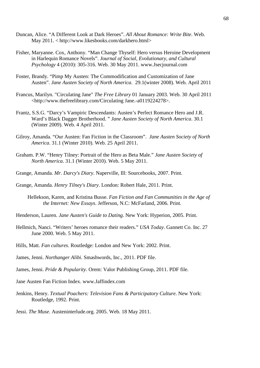- Duncan, Alice. "A Different Look at Dark Heroes". *All About Romance: Write Bite*. Web. May 2011. < http://www.likesbooks.com/darkhero.html>
- Fisher, Maryanne. Cox, Anthony. "Man Change Thyself: Hero versus Heroine Development in Harlequin Romance Novels". *Journal of Social, Evolutionary, and Cultural Psychology* 4 (2010): 305-316. Web. 30 May 2011. www.Jsecjournal.com
- Foster, Brandy. "Pimp My Austen: The Commodification and Customization of Jane Austen". *Jane Austen Society of North America*. 29.1(winter 2008). Web. April 2011
- Francus, Marilyn. "Circulating Jane" *The Free Library* 01 January 2003. Web. 30 April 2011 <http://www.thefreelibrary.com/Circulating Jane.-a0119224278>.
- Frantz, S.S.G. "Darcy's Vampiric Descendants: Austen's Perfect Romance Hero and J.R. Ward's Black Dagger Brotherhood. " *Jane Austen Society of North America*. 30.1 (Winter 2009). Web. 4 April 2011.
- Gilroy, Amanda. "Our Austen: Fan Fiction in the Classroom". *Jane Austen Society of North America*. 31.1 (Winter 2010). Web. 25 April 2011.
- Graham. P.W. "Henry Tilney: Portrait of the Hero as Beta Male." *Jane Austen Society of North America*. 31.1 (Winter 2010). Web. 5 May 2011.
- Grange, Amanda. *Mr. Darcy's Diary*. Naperville, Ill: Sourcebooks, 2007. Print.
- Grange, Amanda. *Henry Tilney's Diary*. London: Robert Hale, 2011. Print.
	- Hellekson, Karen, and Kristina Busse. *Fan Fiction and Fan Communities in the Age of the Internet: New Essays*. Jefferson, N.C: McFarland, 2006. Print.
- Henderson, Lauren. *Jane Austen's Guide to Dating*. New York: Hyperion, 2005. Print.
- Hellmich, Nanci. "Writers' heroes romance their readers." *USA Today*. Gannett Co. Inc. 27 June 2000. Web. 5 May 2011.
- Hills, Matt. *Fan cultures*. Routledge: London and New York: 2002. Print.
- James, Jenni. *Northanger Alibi*. Smashwords, Inc., 2011. PDF file.
- James, Jenni. *Pride & Popularity*. Orem: Valor Publishing Group, 2011. PDF file.
- Jane Austen Fan Fiction Index. www.Jaffindex.com
- Jenkins, Henry. *Textual Poachers: Television Fans & Participatory Culture*. New York: Routledge, 1992. Print.
- Jessi. *The Muse.* Austeninterlude.org. 2005. Web. 18 May 2011.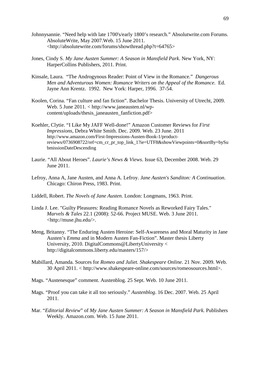- Johnnysannie. "Need help with late 1700's/early 1800's research." Absolutwrite.com Forums. AbsoluteWrite, May 2007.Web. 15 June 2011. <http://absolutewrite.com/forums/showthread.php?t=64765>
- Jones, Cindy S. *My Jane Austen Summer: A Season in Mansfield Park*. New York, NY: HarperCollins Publishers, 2011. Print.
- Kinsale, Laura. "The Androgynous Reader: Point of View in the Romance." *Dangerous Men and Adventurous Women: Romance Writers on the Appeal of the Romance*. Ed. Jayne Ann Krentz. 1992. New York: Harper, 1996. 37-54.
- Koolen, Corina. "Fan culture and fan fiction". Bachelor Thesis. University of Utrecht, 2009. Web. 5 June 2011. < http://www.janeausten.nl/wpcontent/uploads/thesis\_janeausten\_fanfiction.pdf>
- Koehler, Clytie. "I Like My JAFF Well-done!" Amazon Customer Reviews for *First Impressions,* Debra White Smith. Dec. 2009. Web. 23 June. 2011 http://www.amazon.com/First-Impressions-Austen-Book-1/productreviews/0736908722/ref=cm\_cr\_pr\_top\_link\_1?ie=UTF8&showViewpoints=0&sortBy=bySu bmissionDateDescending
- Laurie. "All About Heroes". *Laurie's News & Views*. Issue 63, December 2008. Web. 29 June 2011.
- Lefroy, Anna A, Jane Austen, and Anna A. Lefroy. *Jane Austen's Sanditon: A Continuation*. Chicago: Chiron Press, 1983. Print.
- Liddell, Robert. *The Novels of Jane Austen.* London: Longmans, 1963. Print.
- Linda J. Lee. "Guilty Pleasures: Reading Romance Novels as Reworked Fairy Tales." *Marvels & Tales* 22.1 (2008): 52-66. Project MUSE. Web. 3 June 2011. <http://muse.jhu.edu/>.
- Meng, Britanny. "The Enduring Austen Heroine: Self-Awareness and Moral Maturity in Jane Austen's *Emma* and in Modern Austen Fan-Fiction". Master thesis Liberty University, 2010. DigitalCommons@LibertyUniversity < http://digitalcommons.liberty.edu/masters/157/>
- Mabillard, Amanda. Sources for *Romeo and Juliet. Shakespeare Online*. 21 Nov. 2009. Web. 30 April 2011. < http://www.shakespeare-online.com/sources/romeosources.html>.
- Mags. "Austenesque" comment. Austenblog. 25 Sept. Web. 10 June 2011.
- Mags. "Proof you can take it all too seriously." *Austenblog*. 16 Dec. 2007. Web. 25 April 2011.
- Mar. "*Editorial Review*" of *My Jane Austen Summer: A Season in Mansfield Park.* Publishers Weekly. Amazon.com. Web. 15 June 2011.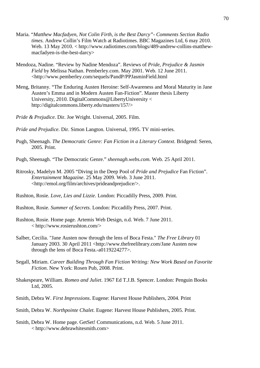- Maria. "*Matthew Macfadyen, Not Colin Firth, is the Best Darcy"- Comments Section Radio times.* Andrew Collin's Film Watch at Radiotimes. BBC Magazines Ltd, 6 may 2010. Web. 13 May 2010. < http://www.radiotimes.com/blogs/489-andrew-collins-matthewmacfadyen-is-the-best-darcy>
- Mendoza, Nadine. "Review by Nadine Mendoza". Reviews of *Pride, Prejudice & Jasmin Field* by Melissa Nathan. Pemberley.com. May 2001. Web. 12 June 2011. <http://www.pemberley.com/sequels/PandP/PPJasminField.html
- Meng, Britanny. "The Enduring Austen Heroine: Self-Awareness and Moral Maturity in Jane Austen's Emma and in Modern Austen Fan-Fiction". Master thesis Liberty University, 2010. DigitalCommons@LibertyUniversity < http://digitalcommons.liberty.edu/masters/157/>
- *Pride & Prejudice*. Dir. Joe Wright. Universal, 2005. Film.
- *Pride and Prejudice*. Dir. Simon Langton. Universal, 1995. TV mini-series.
- Pugh, Sheenagh. *The Democratic Genre: Fan Fiction in a Literary Context*. Bridgend: Seren, 2005. Print.
- Pugh, Sheenagh. "The Democratic Genre." *sheenagh.webs.com.* Web. 25 April 2011.
- Ritrosky, Madelyn M. 2005 "Diving in the Deep Pool of *Pride and Prejudice* Fan Fiction". *Entertainment Magazine*. 25 May 2009. Web. 3 June 2011. <http://emol.org/film/archives/prideandprejudice/>.
- Rushton, Rosie. *Love, Lies and Lizzie*. London: Piccadilly Press, 2009. Print.
- Rushton, Rosie. *Summer of Secrets.* London: Piccadilly Press, 2007. Print.
- Rushton, Rosie. Home page. Artemis Web Design, n.d. Web. 7 June 2011. < http://www.rosierushton.com/>
- Salber, Cecilia. "Jane Austen now through the lens of Boca Festa." *The Free Library* 01 January 2003. 30 April 2011 <http://www.thefreelibrary.com/Jane Austen now through the lens of Boca Festa.-a0119224277>.
- Segall, Miriam. *Career Building Through Fan Fiction Writing: New Work Based on Favorite Fiction*. New York: Rosen Pub, 2008. Print.
- Shakespeare, William. *Romeo and Juliet*. 1967 Ed T.J.B. Spencer. London: Penguin Books Ltd, 2005.
- Smith, Debra W. *First Impressions*. Eugene: Harvest House Publishers, 2004. Print
- Smith, Debra W. *Northpointe Chalet.* Eugene: Harvest House Publishers, 2005. Print.
- Smith, Debra W. Home page. GetSet! Communications, n.d. Web. 5 June 2011. < http://www.debrawhitesmith.com>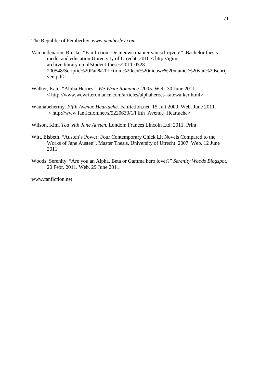The Republic of Pemberley*. www.pemberley.com* 

- Van oudenaren, Rinske. "Fan fiction: De nieuwe manier van schrijven!". Bachelor thesis media and education University of Utrecht, 2010 < http://igiturarchive.library.uu.nl/student-theses/2011-0328- 200548/Scriptie%20Fan%20fiction,%20een%20nieuwe%20manier%20van%20schrij ven.pdf>
- Walker, Kate. "Alpha Heroes". *We Write Romance*. 2005. Web. 30 June 2011. < http://www.wewriteromance.com/articles/alphaheroes-katewalker.html>
- Wannabehermy. *Fifth Avenue Heartache*. Fanfiction.net. 15 Juli 2009. Web. June 2011. < http://www.fanfiction.net/s/5220630/1/Fifth\_Avenue\_Heartache>
- Wilson, Kim. *Tea with Jane Austen.* London: Frances Lincoln Ltd, 2011. Print.
- Witt, Elsbeth. "Austen's Power: Four Contemporary Chick Lit Novels Compared to the Works of Jane Austen". Master Thesis, University of Utrecht. 2007. Web. 12 June 2011.
- Woods, Serenity. "Are you an Alpha, Beta or Gamma hero lover?" *Serenity Woods Blogspot.*  20 Febr. 2011. Web. 29 June 2011.

www.fanfiction.net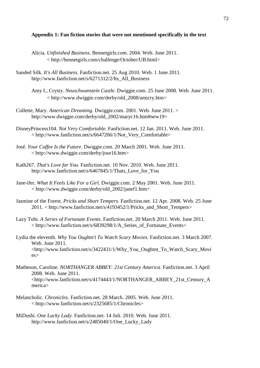## **Appendix 1: Fan fiction stories that were not mentioned specifically in the text**

- Alicia. *Unfinished Business*. Bennetgirls.com. 2004. Web. June 2011. < http://bennetgirls.com/challenge/October/UB.html>
- Sanded Silk. *It's All Business*. Fanfiction.net. 25 Aug 2010. Web. 1 June 2011. http://www.fanfiction.net/s/6271312/2/Its\_All\_Business
	- Amy I., Crysty. *Neuschwanstein Castle*. Dwiggie.com. 25 June 2008. Web. June 2011. < http://www.dwiggie.com/derby/old\_2008/amicry.htm>
- Collette, Mary. *American Dreaming*. Dwiggie.com. 2001. Web. June 2011. < http://www.dwiggie.com/derby/old\_2002/maryc16.htm#new19>
- DisneyPrincess104. *Not Very Comfortable.* Fanfiction.net. 12 Jan. 2011. Web. June 2011. < http://www.fanfiction.net/s/6647206/1/Not\_Very\_Comfortable>
- José. *Your Coffee Is the Future*. Dwiggie.com. 20 March 2001. Web. June 2011. < http://www.dwiggie.com/derby/jose16.htm>
- Kath267*. That's Love for You.* Fanfiction.net. 10 Nov. 2010. Web. June 2011. http://www.fanfiction.net/s/6467845/1/Thats\_Love\_for\_You
- Jane-ifer*. What It Feels Like For a Girl.* Dwiggie.com. 2 May 2001. Web. June 2011. < http://www.dwiggie.com/derby/old\_2002/janef1.htm>
- Jasmine of the Forest. *Pricks and Short Tempers.* Fanfiction.net. 12 Apr. 2008. Web. 25 June 2011. < http://www.fanfiction.net/s/4193452/1/Pricks\_and\_Short\_Tempers>
- Lazy Tobi*. A Series of Fortunate Events.* Fanfiction.net. 20 March 2011. Web. June 2011. < http://www.fanfiction.net/s/6839298/1/A\_Series\_of\_Fortunate\_Events>
- Lydia the eleventh. *Why You Oughtn't To Watch Scary Movies.* Fanfiction.net. 3 March 2007. Web. June 2011. <http://www.fanfiction.net/s/3422431/1/Why\_You\_Oughtnt\_To\_Watch\_Scary\_Movi es>
- Matheson, Caroline. *NORTHANGER ABBEY: 21st Century America.* Fanfiction.net. 3 April 2008. Web. June 2011. <http://www.fanfiction.net/s/4174443/1/NORTHANGER\_ABBEY\_21st\_Century\_A merica>
- Melancholic. *Chronicles.* Fanfiction.net. 28 March. 2005. Web. June 2011. < http://www.fanfiction.net/s/2325685/1/Chronicles>
- MiDushi*. One Lucky Lady.* Fanfiction.net. 14 Juli. 2010. Web. June 2011. http://www.fanfiction.net/s/2485040/1/One\_Lucky\_Lady